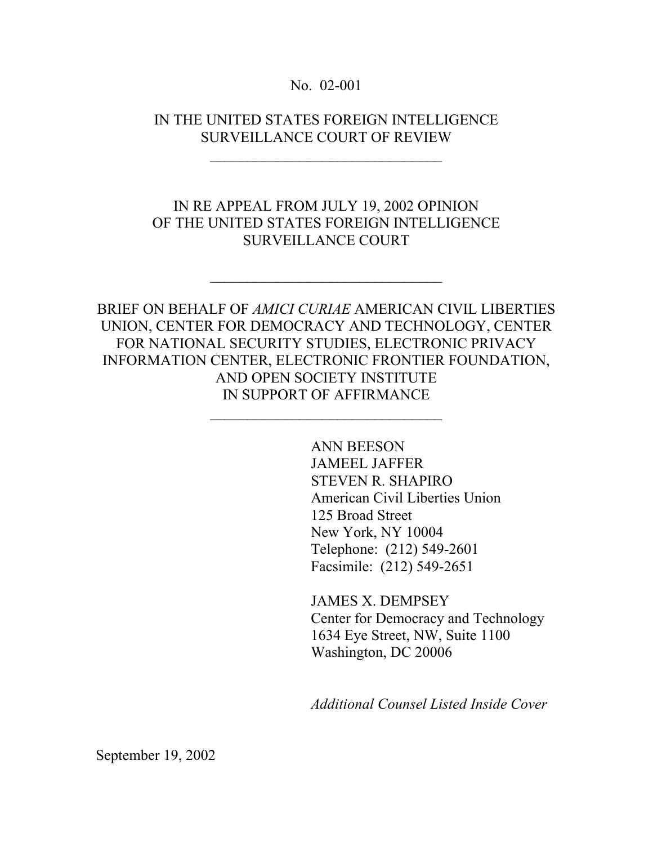No. 02-001

IN THE UNITED STATES FOREIGN INTELLIGENCE SURVEILLANCE COURT OF REVIEW

\_\_\_\_\_\_\_\_\_\_\_\_\_\_\_\_\_\_\_\_\_\_\_\_\_\_\_\_\_\_\_

### IN RE APPEAL FROM JULY 19, 2002 OPINION OF THE UNITED STATES FOREIGN INTELLIGENCE SURVEILLANCE COURT

 $\mathcal{L}_\text{max}$ 

# BRIEF ON BEHALF OF *AMICI CURIAE* AMERICAN CIVIL LIBERTIES UNION, CENTER FOR DEMOCRACY AND TECHNOLOGY, CENTER FOR NATIONAL SECURITY STUDIES, ELECTRONIC PRIVACY INFORMATION CENTER, ELECTRONIC FRONTIER FOUNDATION, AND OPEN SOCIETY INSTITUTE IN SUPPORT OF AFFIRMANCE

\_\_\_\_\_\_\_\_\_\_\_\_\_\_\_\_\_\_\_\_\_\_\_\_\_\_\_\_\_\_\_

ANN BEESON JAMEEL JAFFER STEVEN R. SHAPIRO American Civil Liberties Union 125 Broad Street New York, NY 10004 Telephone: (212) 549-2601 Facsimile: (212) 549-2651

JAMES X. DEMPSEY Center for Democracy and Technology 1634 Eye Street, NW, Suite 1100 Washington, DC 20006

*Additional Counsel Listed Inside Cover* 

September 19, 2002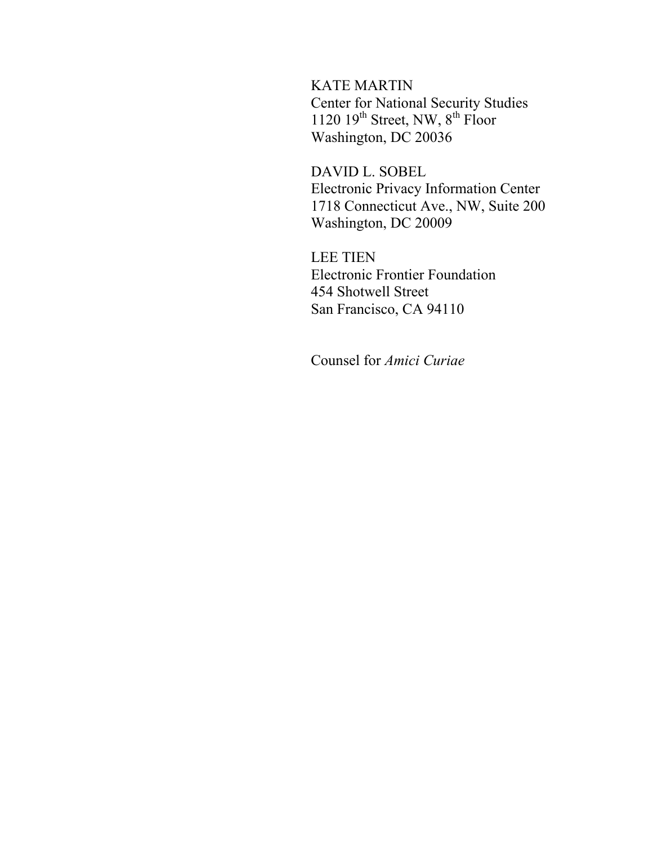KATE MARTIN Center for National Security Studies 1120 19<sup>th</sup> Street, NW, 8<sup>th</sup> Floor Washington, DC 20036

DAVID L. SOBEL Electronic Privacy Information Center 1718 Connecticut Ave., NW, Suite 200 Washington, DC 20009

LEE TIEN Electronic Frontier Foundation 454 Shotwell Street San Francisco, CA 94110

Counsel for *Amici Curiae*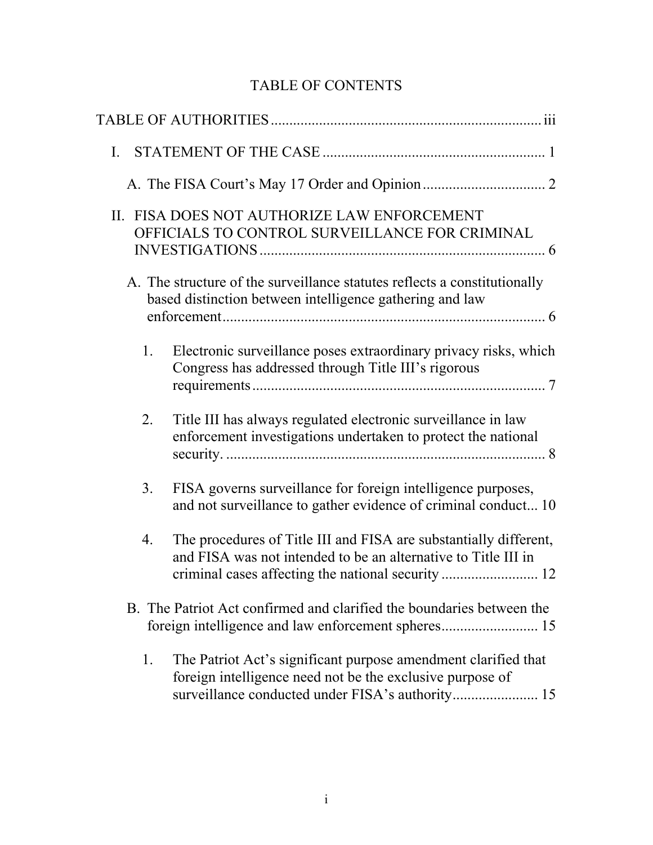# TABLE OF CONTENTS

| $\mathbf{I}$ . |                                                                                                                                                                                 |
|----------------|---------------------------------------------------------------------------------------------------------------------------------------------------------------------------------|
|                |                                                                                                                                                                                 |
|                | II. FISA DOES NOT AUTHORIZE LAW ENFORCEMENT<br>OFFICIALS TO CONTROL SURVEILLANCE FOR CRIMINAL                                                                                   |
|                | A. The structure of the surveillance statutes reflects a constitutionally<br>based distinction between intelligence gathering and law                                           |
| 1.             | Electronic surveillance poses extraordinary privacy risks, which<br>Congress has addressed through Title III's rigorous                                                         |
| 2.             | Title III has always regulated electronic surveillance in law<br>enforcement investigations undertaken to protect the national                                                  |
| 3.             | FISA governs surveillance for foreign intelligence purposes,<br>and not surveillance to gather evidence of criminal conduct 10                                                  |
| 4.             | The procedures of Title III and FISA are substantially different,<br>and FISA was not intended to be an alternative to Title III in                                             |
|                | B. The Patriot Act confirmed and clarified the boundaries between the                                                                                                           |
| 1.             | The Patriot Act's significant purpose amendment clarified that<br>foreign intelligence need not be the exclusive purpose of<br>surveillance conducted under FISA's authority 15 |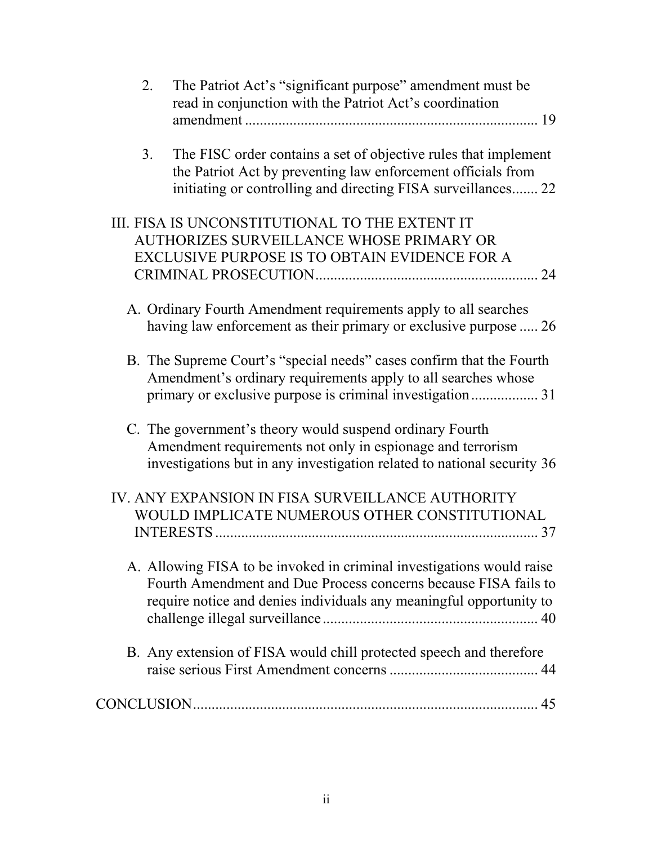| 2. | The Patriot Act's "significant purpose" amendment must be<br>read in conjunction with the Patriot Act's coordination                                                                                            |
|----|-----------------------------------------------------------------------------------------------------------------------------------------------------------------------------------------------------------------|
| 3. | The FISC order contains a set of objective rules that implement<br>the Patriot Act by preventing law enforcement officials from<br>initiating or controlling and directing FISA surveillances 22                |
|    | III. FISA IS UNCONSTITUTIONAL TO THE EXTENT IT<br>AUTHORIZES SURVEILLANCE WHOSE PRIMARY OR<br>EXCLUSIVE PURPOSE IS TO OBTAIN EVIDENCE FOR A                                                                     |
|    | A. Ordinary Fourth Amendment requirements apply to all searches<br>having law enforcement as their primary or exclusive purpose  26                                                                             |
|    | B. The Supreme Court's "special needs" cases confirm that the Fourth<br>Amendment's ordinary requirements apply to all searches whose                                                                           |
|    | C. The government's theory would suspend ordinary Fourth<br>Amendment requirements not only in espionage and terrorism<br>investigations but in any investigation related to national security 36               |
|    | IV. ANY EXPANSION IN FISA SURVEILLANCE AUTHORITY<br>WOULD IMPLICATE NUMEROUS OTHER CONSTITUTIONAL                                                                                                               |
|    | A. Allowing FISA to be invoked in criminal investigations would raise<br>Fourth Amendment and Due Process concerns because FISA fails to<br>require notice and denies individuals any meaningful opportunity to |
|    | B. Any extension of FISA would chill protected speech and therefore                                                                                                                                             |
|    |                                                                                                                                                                                                                 |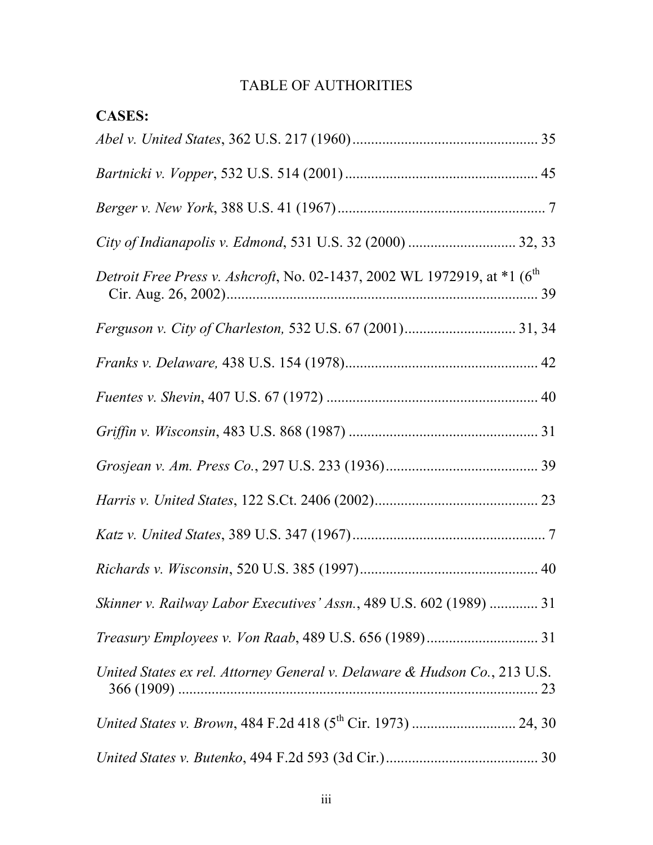# TABLE OF AUTHORITIES

| <b>CASES:</b>                                                                          |  |
|----------------------------------------------------------------------------------------|--|
|                                                                                        |  |
|                                                                                        |  |
|                                                                                        |  |
|                                                                                        |  |
| Detroit Free Press v. Ashcroft, No. 02-1437, 2002 WL 1972919, at *1 (6 <sup>th</sup> ) |  |
|                                                                                        |  |
|                                                                                        |  |
|                                                                                        |  |
|                                                                                        |  |
|                                                                                        |  |
|                                                                                        |  |
|                                                                                        |  |
|                                                                                        |  |
| Skinner v. Railway Labor Executives' Assn., 489 U.S. 602 (1989)  31                    |  |
|                                                                                        |  |
| United States ex rel. Attorney General v. Delaware & Hudson Co., 213 U.S.              |  |
|                                                                                        |  |
|                                                                                        |  |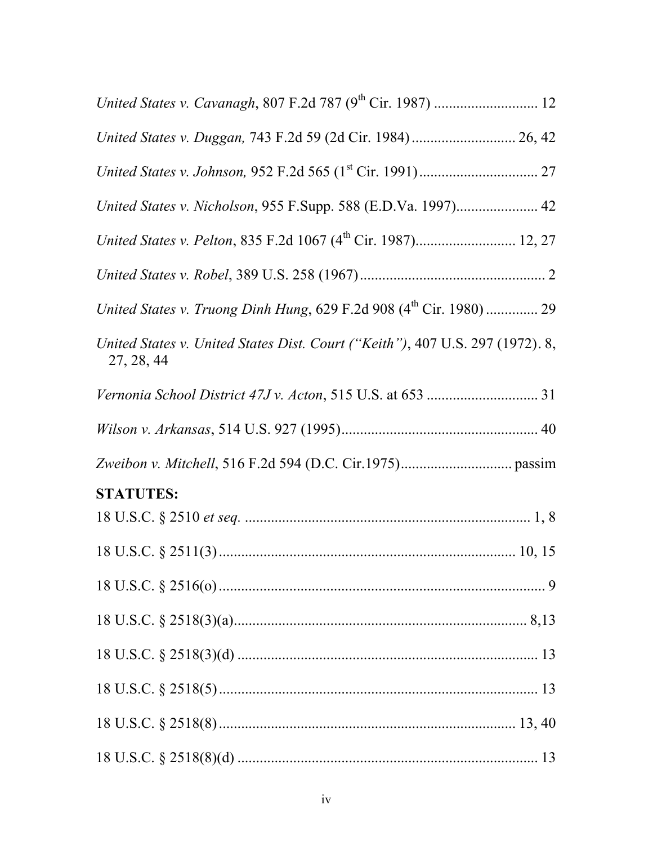| United States v. Duggan, 743 F.2d 59 (2d Cir. 1984) 26, 42                                  |  |
|---------------------------------------------------------------------------------------------|--|
|                                                                                             |  |
| United States v. Nicholson, 955 F.Supp. 588 (E.D.Va. 1997) 42                               |  |
|                                                                                             |  |
|                                                                                             |  |
|                                                                                             |  |
| United States v. United States Dist. Court ("Keith"), 407 U.S. 297 (1972). 8,<br>27, 28, 44 |  |
|                                                                                             |  |
|                                                                                             |  |
|                                                                                             |  |
| <b>STATUTES:</b>                                                                            |  |
|                                                                                             |  |
|                                                                                             |  |
|                                                                                             |  |
|                                                                                             |  |
|                                                                                             |  |
|                                                                                             |  |
|                                                                                             |  |
|                                                                                             |  |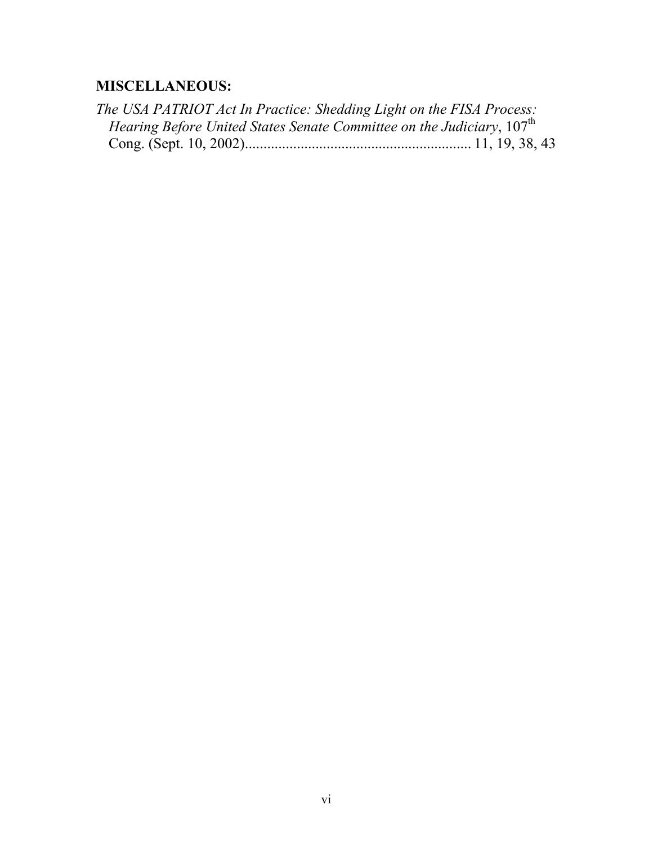# **MISCELLANEOUS:**

| The USA PATRIOT Act In Practice: Shedding Light on the FISA Process:                      |  |
|-------------------------------------------------------------------------------------------|--|
| <i>Hearing Before United States Senate Committee on the Judiciary</i> , 107 <sup>th</sup> |  |
|                                                                                           |  |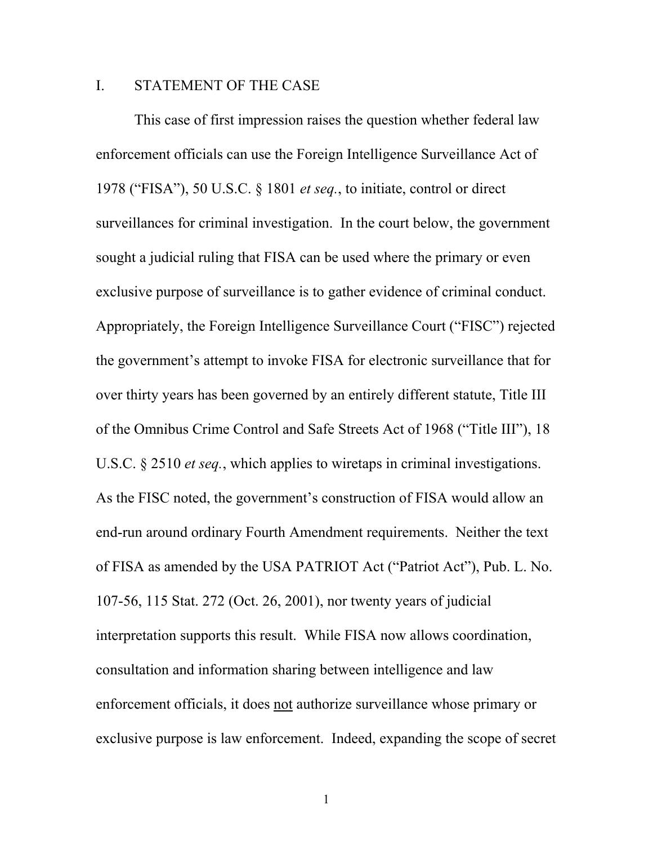#### I. STATEMENT OF THE CASE

This case of first impression raises the question whether federal law enforcement officials can use the Foreign Intelligence Surveillance Act of 1978 ("FISA"), 50 U.S.C. § 1801 *et seq.*, to initiate, control or direct surveillances for criminal investigation. In the court below, the government sought a judicial ruling that FISA can be used where the primary or even exclusive purpose of surveillance is to gather evidence of criminal conduct. Appropriately, the Foreign Intelligence Surveillance Court ("FISC") rejected the government's attempt to invoke FISA for electronic surveillance that for over thirty years has been governed by an entirely different statute, Title III of the Omnibus Crime Control and Safe Streets Act of 1968 ("Title III"), 18 U.S.C. § 2510 *et seq.*, which applies to wiretaps in criminal investigations. As the FISC noted, the government's construction of FISA would allow an end-run around ordinary Fourth Amendment requirements. Neither the text of FISA as amended by the USA PATRIOT Act ("Patriot Act"), Pub. L. No. 107-56, 115 Stat. 272 (Oct. 26, 2001), nor twenty years of judicial interpretation supports this result. While FISA now allows coordination, consultation and information sharing between intelligence and law enforcement officials, it does not authorize surveillance whose primary or exclusive purpose is law enforcement. Indeed, expanding the scope of secret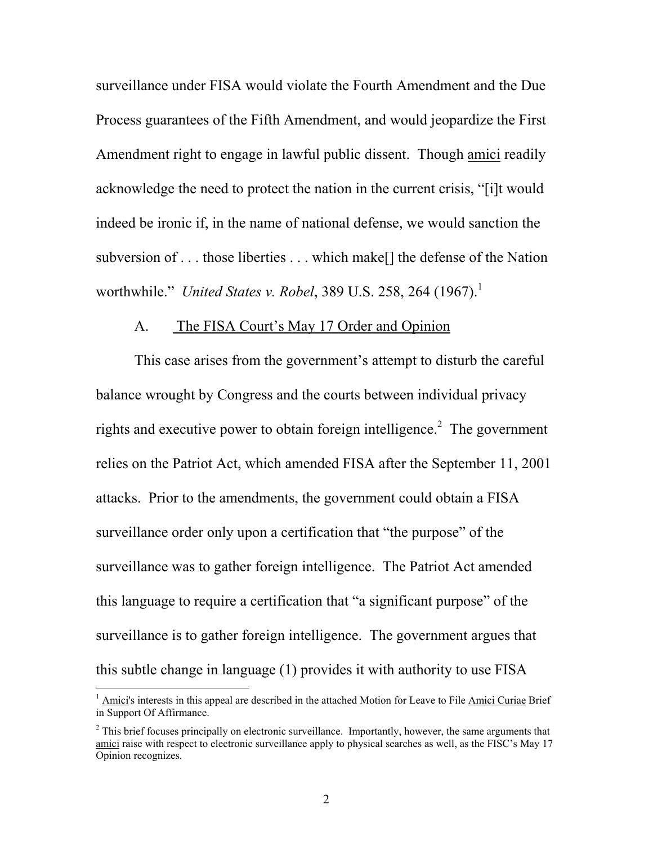surveillance under FISA would violate the Fourth Amendment and the Due Process guarantees of the Fifth Amendment, and would jeopardize the First Amendment right to engage in lawful public dissent. Though amici readily acknowledge the need to protect the nation in the current crisis, "[i]t would indeed be ironic if, in the name of national defense, we would sanction the subversion of . . . those liberties . . . which make[] the defense of the Nation worthwhile." *United States v. Robel*, 389 U.S. 258, 264 (1967).<sup>1</sup>

#### A. The FISA Court's May 17 Order and Opinion

This case arises from the government's attempt to disturb the careful balance wrought by Congress and the courts between individual privacy rights and executive power to obtain foreign intelligence.<sup>2</sup> The government relies on the Patriot Act, which amended FISA after the September 11, 2001 attacks. Prior to the amendments, the government could obtain a FISA surveillance order only upon a certification that "the purpose" of the surveillance was to gather foreign intelligence. The Patriot Act amended this language to require a certification that "a significant purpose" of the surveillance is to gather foreign intelligence. The government argues that this subtle change in language (1) provides it with authority to use FISA

<sup>&</sup>lt;sup>1</sup> Amici's interests in this appeal are described in the attached Motion for Leave to File Amici Curiae Brief in Support Of Affirmance.

 $2<sup>2</sup>$  This brief focuses principally on electronic surveillance. Importantly, however, the same arguments that amici raise with respect to electronic surveillance apply to physical searches as well, as the FISC's May 17 Opinion recognizes.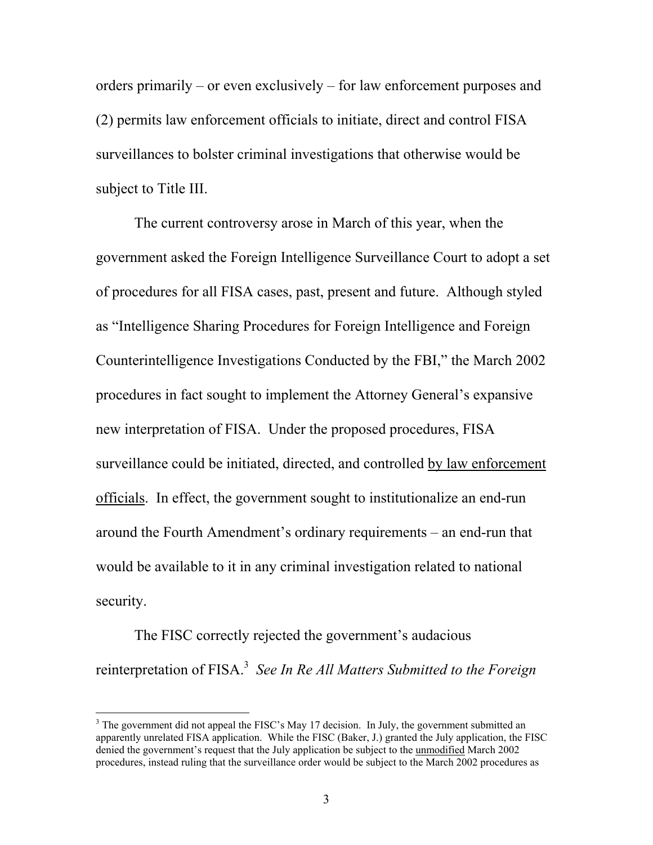orders primarily – or even exclusively – for law enforcement purposes and (2) permits law enforcement officials to initiate, direct and control FISA surveillances to bolster criminal investigations that otherwise would be subject to Title III.

The current controversy arose in March of this year, when the government asked the Foreign Intelligence Surveillance Court to adopt a set of procedures for all FISA cases, past, present and future. Although styled as "Intelligence Sharing Procedures for Foreign Intelligence and Foreign Counterintelligence Investigations Conducted by the FBI," the March 2002 procedures in fact sought to implement the Attorney General's expansive new interpretation of FISA. Under the proposed procedures, FISA surveillance could be initiated, directed, and controlled by law enforcement officials. In effect, the government sought to institutionalize an end-run around the Fourth Amendment's ordinary requirements – an end-run that would be available to it in any criminal investigation related to national security.

The FISC correctly rejected the government's audacious reinterpretation of FISA.<sup>3</sup> See In Re All Matters Submitted to the Foreign

 $3$  The government did not appeal the FISC's May 17 decision. In July, the government submitted an apparently unrelated FISA application. While the FISC (Baker, J.) granted the July application, the FISC denied the government's request that the July application be subject to the **unmodified** March 2002 procedures, instead ruling that the surveillance order would be subject to the March 2002 procedures as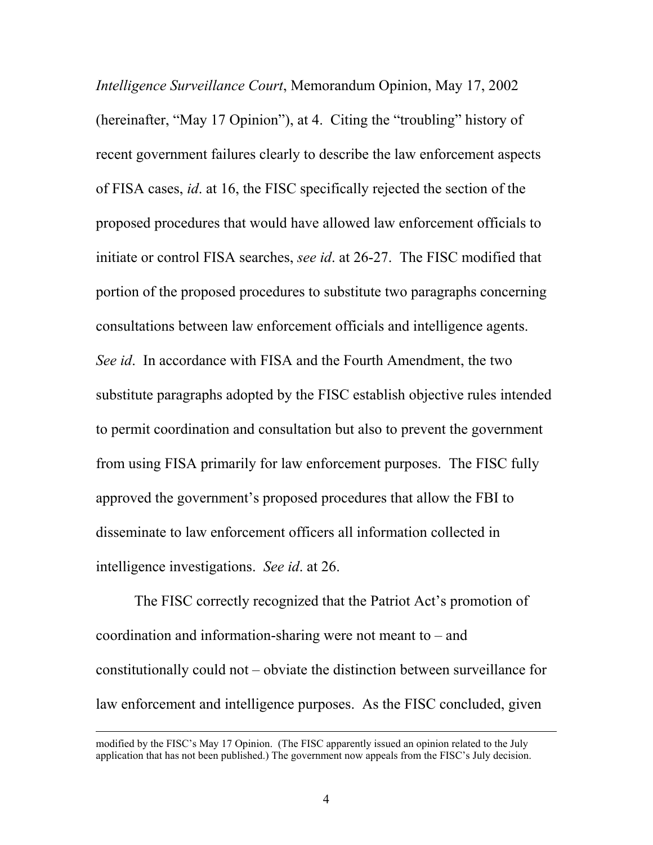*Intelligence Surveillance Court*, Memorandum Opinion, May 17, 2002 (hereinafter, "May 17 Opinion"), at 4. Citing the "troubling" history of recent government failures clearly to describe the law enforcement aspects of FISA cases, *id*. at 16, the FISC specifically rejected the section of the proposed procedures that would have allowed law enforcement officials to initiate or control FISA searches, *see id*. at 26-27. The FISC modified that portion of the proposed procedures to substitute two paragraphs concerning consultations between law enforcement officials and intelligence agents. *See id*. In accordance with FISA and the Fourth Amendment, the two substitute paragraphs adopted by the FISC establish objective rules intended to permit coordination and consultation but also to prevent the government from using FISA primarily for law enforcement purposes. The FISC fully approved the government's proposed procedures that allow the FBI to disseminate to law enforcement officers all information collected in intelligence investigations. *See id*. at 26.

The FISC correctly recognized that the Patriot Act's promotion of coordination and information-sharing were not meant to – and constitutionally could not – obviate the distinction between surveillance for law enforcement and intelligence purposes. As the FISC concluded, given

modified by the FISC's May 17 Opinion. (The FISC apparently issued an opinion related to the July application that has not been published.) The government now appeals from the FISC's July decision.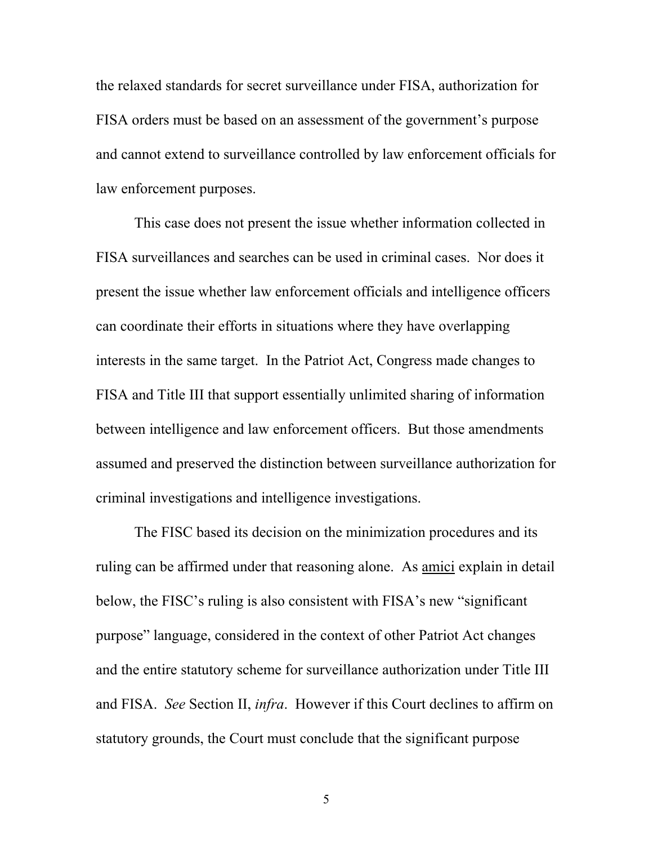the relaxed standards for secret surveillance under FISA, authorization for FISA orders must be based on an assessment of the government's purpose and cannot extend to surveillance controlled by law enforcement officials for law enforcement purposes.

This case does not present the issue whether information collected in FISA surveillances and searches can be used in criminal cases. Nor does it present the issue whether law enforcement officials and intelligence officers can coordinate their efforts in situations where they have overlapping interests in the same target. In the Patriot Act, Congress made changes to FISA and Title III that support essentially unlimited sharing of information between intelligence and law enforcement officers. But those amendments assumed and preserved the distinction between surveillance authorization for criminal investigations and intelligence investigations.

The FISC based its decision on the minimization procedures and its ruling can be affirmed under that reasoning alone. As amici explain in detail below, the FISC's ruling is also consistent with FISA's new "significant purpose" language, considered in the context of other Patriot Act changes and the entire statutory scheme for surveillance authorization under Title III and FISA. *See* Section II, *infra*. However if this Court declines to affirm on statutory grounds, the Court must conclude that the significant purpose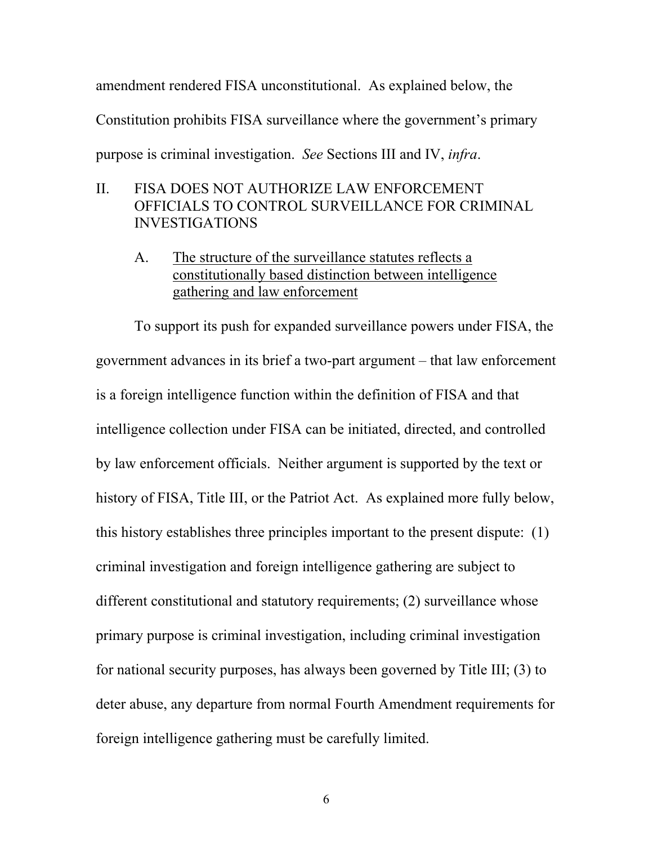amendment rendered FISA unconstitutional. As explained below, the Constitution prohibits FISA surveillance where the government's primary purpose is criminal investigation. *See* Sections III and IV, *infra*.

## II. FISA DOES NOT AUTHORIZE LAW ENFORCEMENT OFFICIALS TO CONTROL SURVEILLANCE FOR CRIMINAL INVESTIGATIONS

A. The structure of the surveillance statutes reflects a constitutionally based distinction between intelligence gathering and law enforcement

To support its push for expanded surveillance powers under FISA, the government advances in its brief a two-part argument – that law enforcement is a foreign intelligence function within the definition of FISA and that intelligence collection under FISA can be initiated, directed, and controlled by law enforcement officials. Neither argument is supported by the text or history of FISA, Title III, or the Patriot Act. As explained more fully below, this history establishes three principles important to the present dispute: (1) criminal investigation and foreign intelligence gathering are subject to different constitutional and statutory requirements; (2) surveillance whose primary purpose is criminal investigation, including criminal investigation for national security purposes, has always been governed by Title III; (3) to deter abuse, any departure from normal Fourth Amendment requirements for foreign intelligence gathering must be carefully limited.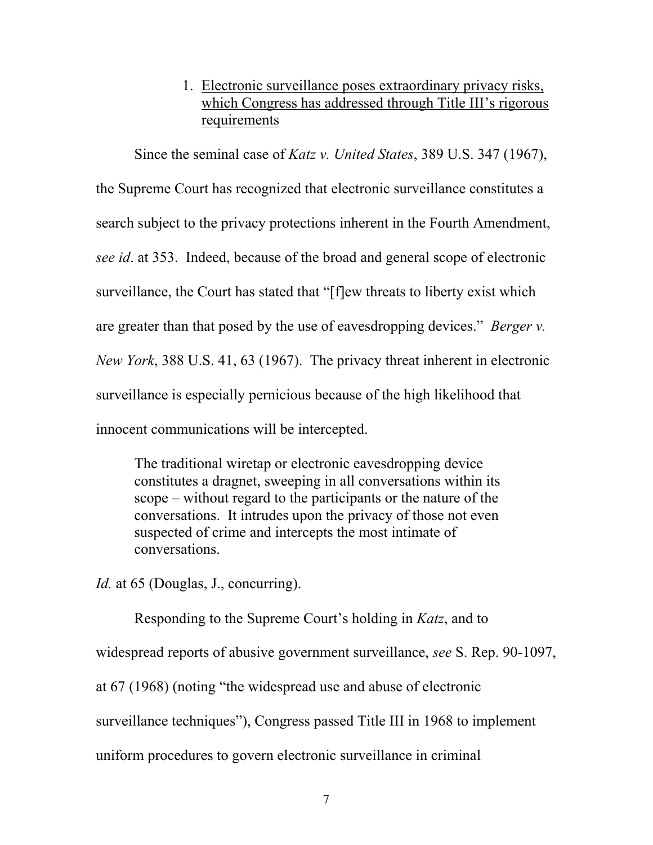## 1. Electronic surveillance poses extraordinary privacy risks, which Congress has addressed through Title III's rigorous requirements

Since the seminal case of *Katz v. United States*, 389 U.S. 347 (1967), the Supreme Court has recognized that electronic surveillance constitutes a search subject to the privacy protections inherent in the Fourth Amendment, *see id*. at 353. Indeed, because of the broad and general scope of electronic surveillance, the Court has stated that "[f]ew threats to liberty exist which are greater than that posed by the use of eavesdropping devices." *Berger v. New York*, 388 U.S. 41, 63 (1967). The privacy threat inherent in electronic surveillance is especially pernicious because of the high likelihood that innocent communications will be intercepted.

The traditional wiretap or electronic eavesdropping device constitutes a dragnet, sweeping in all conversations within its scope – without regard to the participants or the nature of the conversations. It intrudes upon the privacy of those not even suspected of crime and intercepts the most intimate of conversations.

*Id.* at 65 (Douglas, J., concurring).

Responding to the Supreme Court's holding in *Katz*, and to

widespread reports of abusive government surveillance, *see* S. Rep. 90-1097,

at 67 (1968) (noting "the widespread use and abuse of electronic

surveillance techniques"), Congress passed Title III in 1968 to implement

uniform procedures to govern electronic surveillance in criminal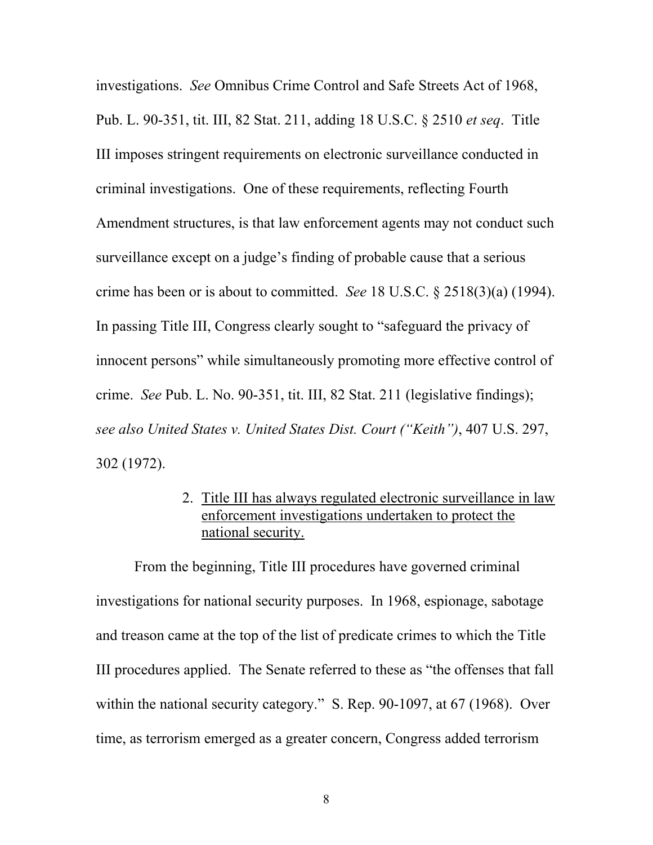investigations. *See* Omnibus Crime Control and Safe Streets Act of 1968, Pub. L. 90-351, tit. III, 82 Stat. 211, adding 18 U.S.C. § 2510 *et seq*. Title III imposes stringent requirements on electronic surveillance conducted in criminal investigations. One of these requirements, reflecting Fourth Amendment structures, is that law enforcement agents may not conduct such surveillance except on a judge's finding of probable cause that a serious crime has been or is about to committed. *See* 18 U.S.C. § 2518(3)(a) (1994). In passing Title III, Congress clearly sought to "safeguard the privacy of innocent persons" while simultaneously promoting more effective control of crime. *See* Pub. L. No. 90-351, tit. III, 82 Stat. 211 (legislative findings); *see also United States v. United States Dist. Court ("Keith")*, 407 U.S. 297, 302 (1972).

### 2. Title III has always regulated electronic surveillance in law enforcement investigations undertaken to protect the national security.

From the beginning, Title III procedures have governed criminal investigations for national security purposes. In 1968, espionage, sabotage and treason came at the top of the list of predicate crimes to which the Title III procedures applied. The Senate referred to these as "the offenses that fall within the national security category." S. Rep. 90-1097, at 67 (1968). Over time, as terrorism emerged as a greater concern, Congress added terrorism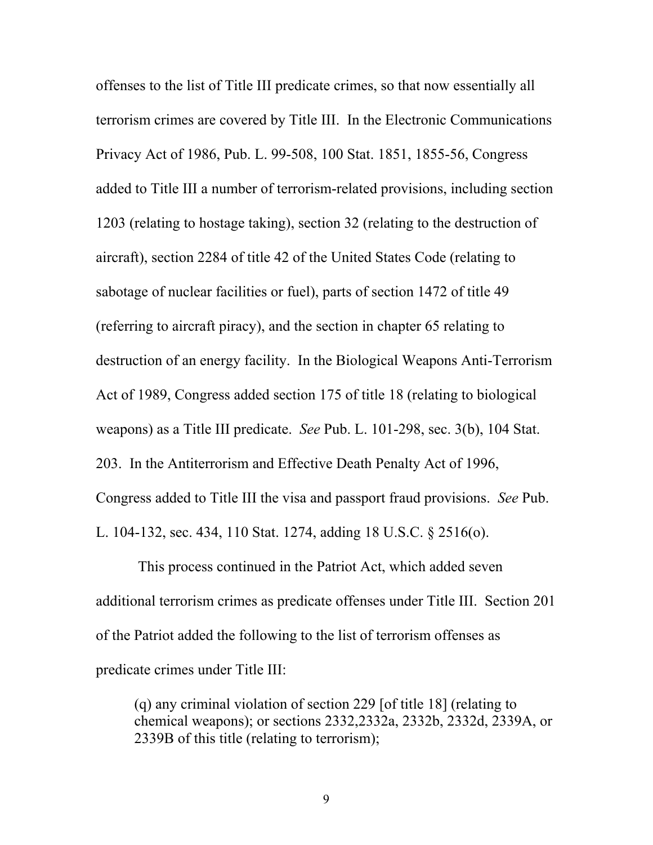offenses to the list of Title III predicate crimes, so that now essentially all terrorism crimes are covered by Title III. In the Electronic Communications Privacy Act of 1986, Pub. L. 99-508, 100 Stat. 1851, 1855-56, Congress added to Title III a number of terrorism-related provisions, including section 1203 (relating to hostage taking), section 32 (relating to the destruction of aircraft), section 2284 of title 42 of the United States Code (relating to sabotage of nuclear facilities or fuel), parts of section 1472 of title 49 (referring to aircraft piracy), and the section in chapter 65 relating to destruction of an energy facility. In the Biological Weapons Anti-Terrorism Act of 1989, Congress added section 175 of title 18 (relating to biological weapons) as a Title III predicate. *See* Pub. L. 101-298, sec. 3(b), 104 Stat. 203. In the Antiterrorism and Effective Death Penalty Act of 1996, Congress added to Title III the visa and passport fraud provisions. *See* Pub. L. 104-132, sec. 434, 110 Stat. 1274, adding 18 U.S.C. § 2516(o).

 This process continued in the Patriot Act, which added seven additional terrorism crimes as predicate offenses under Title III. Section 201 of the Patriot added the following to the list of terrorism offenses as predicate crimes under Title III:

(q) any criminal violation of section 229 [of title 18] (relating to chemical weapons); or sections 2332,2332a, 2332b, 2332d, 2339A, or 2339B of this title (relating to terrorism);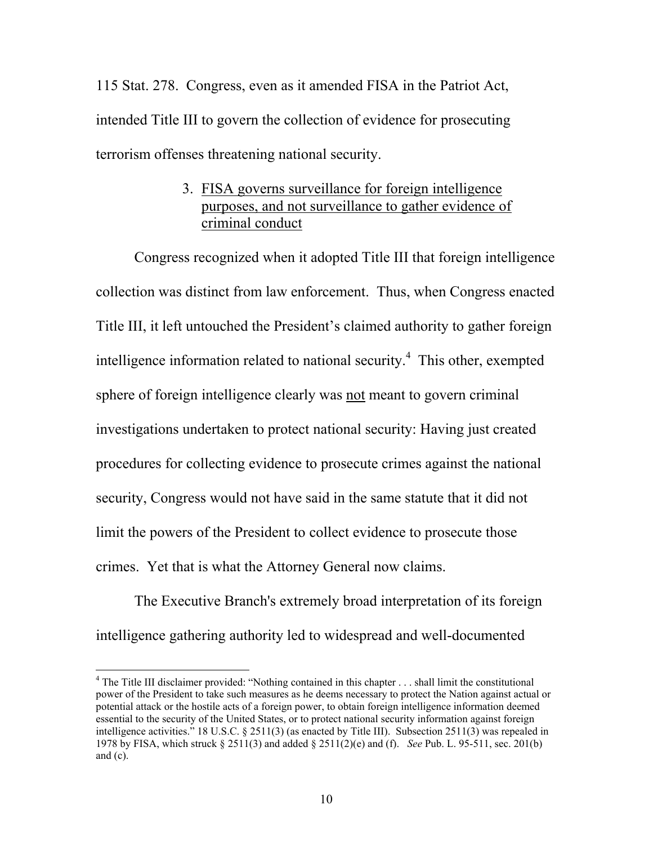115 Stat. 278. Congress, even as it amended FISA in the Patriot Act, intended Title III to govern the collection of evidence for prosecuting terrorism offenses threatening national security.

## 3. FISA governs surveillance for foreign intelligence purposes, and not surveillance to gather evidence of criminal conduct

Congress recognized when it adopted Title III that foreign intelligence collection was distinct from law enforcement. Thus, when Congress enacted Title III, it left untouched the President's claimed authority to gather foreign intelligence information related to national security.<sup>4</sup> This other, exempted sphere of foreign intelligence clearly was not meant to govern criminal investigations undertaken to protect national security: Having just created procedures for collecting evidence to prosecute crimes against the national security, Congress would not have said in the same statute that it did not limit the powers of the President to collect evidence to prosecute those crimes. Yet that is what the Attorney General now claims.

The Executive Branch's extremely broad interpretation of its foreign intelligence gathering authority led to widespread and well-documented

<sup>&</sup>lt;sup>4</sup> The Title III disclaimer provided: "Nothing contained in this chapter . . . shall limit the constitutional power of the President to take such measures as he deems necessary to protect the Nation against actual or potential attack or the hostile acts of a foreign power, to obtain foreign intelligence information deemed essential to the security of the United States, or to protect national security information against foreign intelligence activities." 18 U.S.C. § 2511(3) (as enacted by Title III). Subsection 2511(3) was repealed in 1978 by FISA, which struck § 2511(3) and added § 2511(2)(e) and (f). *See* Pub. L. 95-511, sec. 201(b) and (c).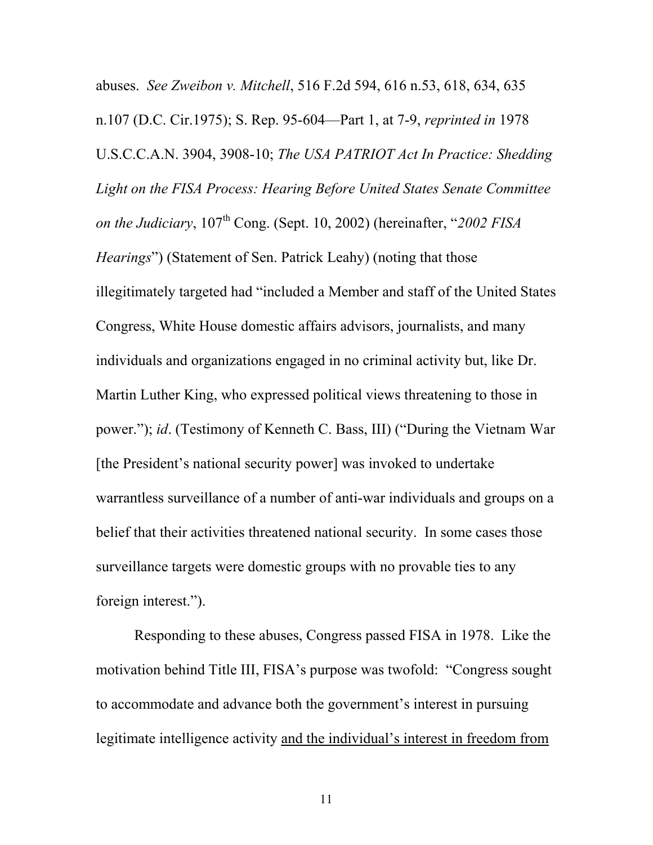abuses. *See Zweibon v. Mitchell*, 516 F.2d 594, 616 n.53, 618, 634, 635 n.107 (D.C. Cir.1975); S. Rep. 95-604—Part 1, at 7-9, *reprinted in* 1978 U.S.C.C.A.N. 3904, 3908-10; *The USA PATRIOT Act In Practice: Shedding Light on the FISA Process: Hearing Before United States Senate Committee on the Judiciary*,  $107<sup>th</sup>$  Cong. (Sept. 10, 2002) (hereinafter, "2002 FISA *Hearings*") (Statement of Sen. Patrick Leahy) (noting that those illegitimately targeted had "included a Member and staff of the United States Congress, White House domestic affairs advisors, journalists, and many individuals and organizations engaged in no criminal activity but, like Dr. Martin Luther King, who expressed political views threatening to those in power."); *id*. (Testimony of Kenneth C. Bass, III) ("During the Vietnam War [the President's national security power] was invoked to undertake warrantless surveillance of a number of anti-war individuals and groups on a belief that their activities threatened national security. In some cases those surveillance targets were domestic groups with no provable ties to any foreign interest.").

Responding to these abuses, Congress passed FISA in 1978. Like the motivation behind Title III, FISA's purpose was twofold: "Congress sought to accommodate and advance both the government's interest in pursuing legitimate intelligence activity and the individual's interest in freedom from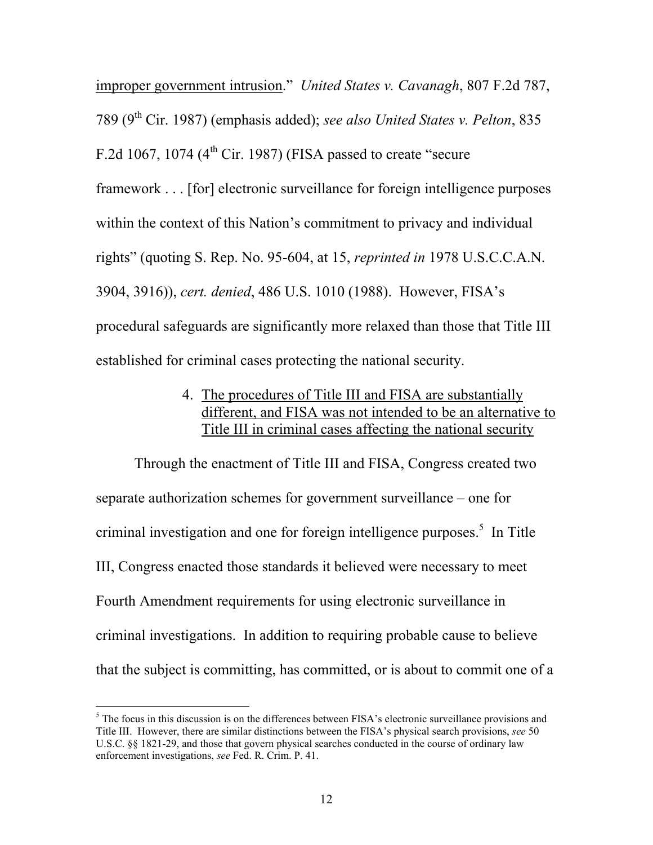improper government intrusion." *United States v. Cavanagh*, 807 F.2d 787, 789 (9th Cir. 1987) (emphasis added); *see also United States v. Pelton*, 835 F.2d 1067, 1074 ( $4<sup>th</sup>$  Cir. 1987) (FISA passed to create "secure framework . . . [for] electronic surveillance for foreign intelligence purposes within the context of this Nation's commitment to privacy and individual rights" (quoting S. Rep. No. 95-604, at 15, *reprinted in* 1978 U.S.C.C.A.N. 3904, 3916)), *cert. denied*, 486 U.S. 1010 (1988). However, FISA's procedural safeguards are significantly more relaxed than those that Title III established for criminal cases protecting the national security.

### 4. The procedures of Title III and FISA are substantially different, and FISA was not intended to be an alternative to Title III in criminal cases affecting the national security

Through the enactment of Title III and FISA, Congress created two separate authorization schemes for government surveillance – one for criminal investigation and one for foreign intelligence purposes.<sup>5</sup> In Title III, Congress enacted those standards it believed were necessary to meet Fourth Amendment requirements for using electronic surveillance in criminal investigations. In addition to requiring probable cause to believe that the subject is committing, has committed, or is about to commit one of a

 $<sup>5</sup>$  The focus in this discussion is on the differences between FISA's electronic surveillance provisions and</sup> Title III. However, there are similar distinctions between the FISA's physical search provisions, *see* 50 U.S.C. §§ 1821-29, and those that govern physical searches conducted in the course of ordinary law enforcement investigations, *see* Fed. R. Crim. P. 41.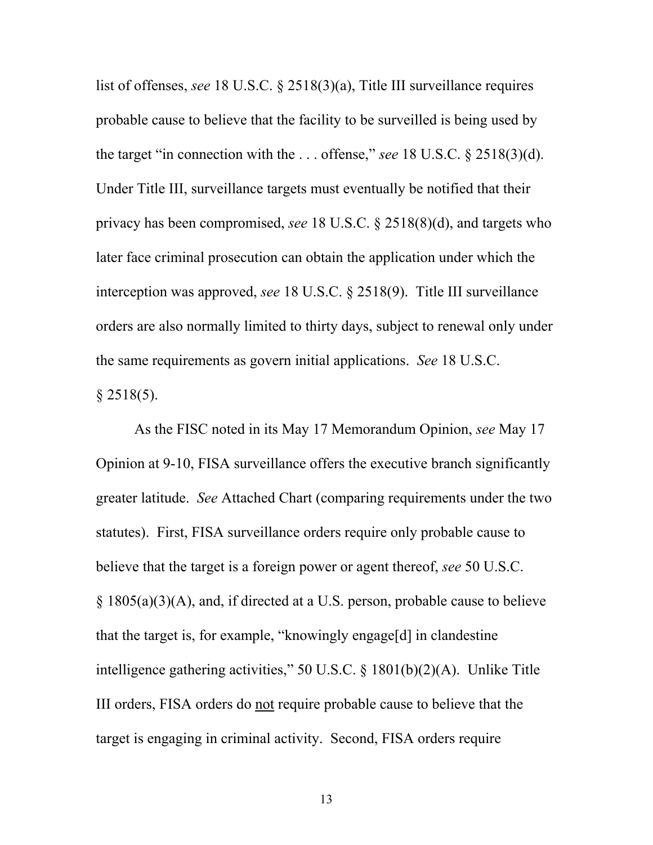list of offenses, *see* 18 U.S.C. § 2518(3)(a), Title III surveillance requires probable cause to believe that the facility to be surveilled is being used by the target "in connection with the . . . offense," *see* 18 U.S.C. § 2518(3)(d). Under Title III, surveillance targets must eventually be notified that their privacy has been compromised, *see* 18 U.S.C. § 2518(8)(d), and targets who later face criminal prosecution can obtain the application under which the interception was approved, *see* 18 U.S.C. § 2518(9). Title III surveillance orders are also normally limited to thirty days, subject to renewal only under the same requirements as govern initial applications. *See* 18 U.S.C.  $§$  2518(5).

 As the FISC noted in its May 17 Memorandum Opinion, *see* May 17 Opinion at 9-10, FISA surveillance offers the executive branch significantly greater latitude. *See* Attached Chart (comparing requirements under the two statutes). First, FISA surveillance orders require only probable cause to believe that the target is a foreign power or agent thereof, *see* 50 U.S.C. § 1805(a)(3)(A), and, if directed at a U.S. person, probable cause to believe that the target is, for example, "knowingly engage[d] in clandestine intelligence gathering activities," 50 U.S.C. § 1801(b)(2)(A). Unlike Title III orders, FISA orders do not require probable cause to believe that the target is engaging in criminal activity. Second, FISA orders require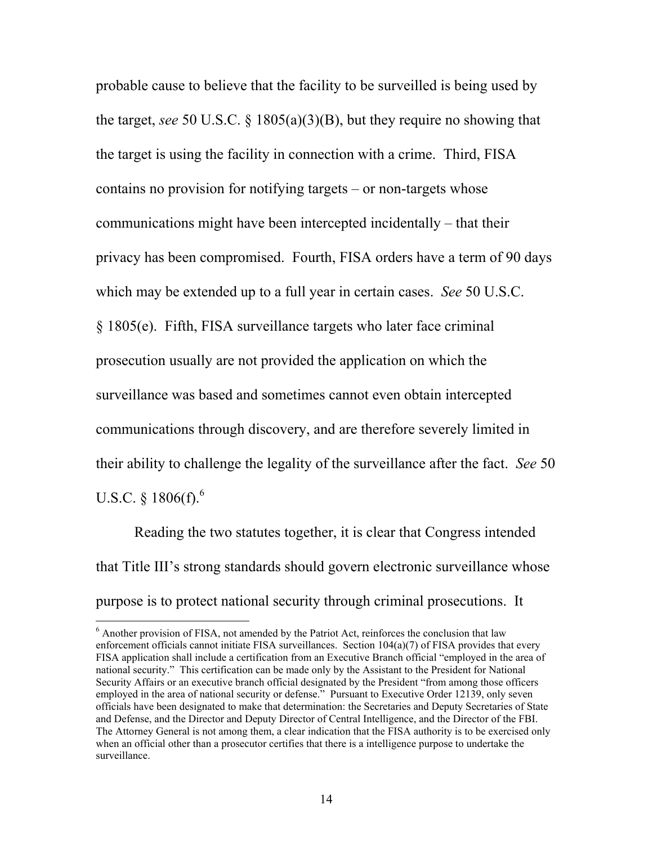probable cause to believe that the facility to be surveilled is being used by the target, *see* 50 U.S.C. § 1805(a)(3)(B), but they require no showing that the target is using the facility in connection with a crime. Third, FISA contains no provision for notifying targets – or non-targets whose communications might have been intercepted incidentally – that their privacy has been compromised. Fourth, FISA orders have a term of 90 days which may be extended up to a full year in certain cases. *See* 50 U.S.C. § 1805(e). Fifth, FISA surveillance targets who later face criminal prosecution usually are not provided the application on which the surveillance was based and sometimes cannot even obtain intercepted communications through discovery, and are therefore severely limited in their ability to challenge the legality of the surveillance after the fact. *See* 50 U.S.C. § 1806(f). $^{6}$ 

 Reading the two statutes together, it is clear that Congress intended that Title III's strong standards should govern electronic surveillance whose purpose is to protect national security through criminal prosecutions. It

<sup>&</sup>lt;sup>6</sup> Another provision of FISA, not amended by the Patriot Act, reinforces the conclusion that law enforcement officials cannot initiate FISA surveillances. Section 104(a)(7) of FISA provides that every FISA application shall include a certification from an Executive Branch official "employed in the area of national security." This certification can be made only by the Assistant to the President for National Security Affairs or an executive branch official designated by the President "from among those officers employed in the area of national security or defense." Pursuant to Executive Order 12139, only seven officials have been designated to make that determination: the Secretaries and Deputy Secretaries of State and Defense, and the Director and Deputy Director of Central Intelligence, and the Director of the FBI. The Attorney General is not among them, a clear indication that the FISA authority is to be exercised only when an official other than a prosecutor certifies that there is a intelligence purpose to undertake the surveillance.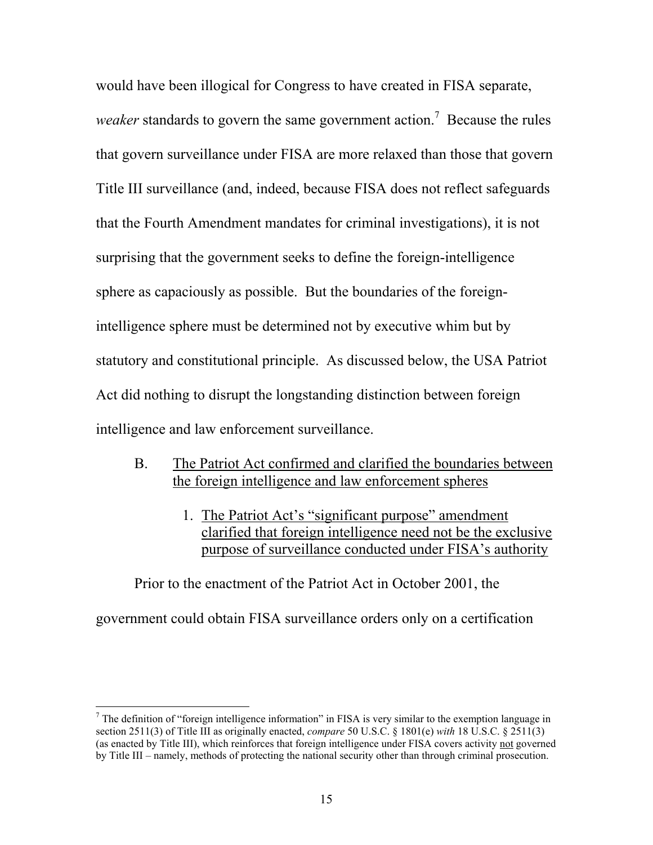would have been illogical for Congress to have created in FISA separate, weaker standards to govern the same government action.<sup>7</sup> Because the rules that govern surveillance under FISA are more relaxed than those that govern Title III surveillance (and, indeed, because FISA does not reflect safeguards that the Fourth Amendment mandates for criminal investigations), it is not surprising that the government seeks to define the foreign-intelligence sphere as capaciously as possible. But the boundaries of the foreignintelligence sphere must be determined not by executive whim but by statutory and constitutional principle. As discussed below, the USA Patriot Act did nothing to disrupt the longstanding distinction between foreign intelligence and law enforcement surveillance.

- B. The Patriot Act confirmed and clarified the boundaries between the foreign intelligence and law enforcement spheres
	- 1. The Patriot Act's "significant purpose" amendment clarified that foreign intelligence need not be the exclusive purpose of surveillance conducted under FISA's authority

Prior to the enactment of the Patriot Act in October 2001, the government could obtain FISA surveillance orders only on a certification

 $<sup>7</sup>$  The definition of "foreign intelligence information" in FISA is very similar to the exemption language in</sup> section 2511(3) of Title III as originally enacted, *compare* 50 U.S.C. § 1801(e) *with* 18 U.S.C. § 2511(3) (as enacted by Title III), which reinforces that foreign intelligence under FISA covers activity not governed by Title III – namely, methods of protecting the national security other than through criminal prosecution.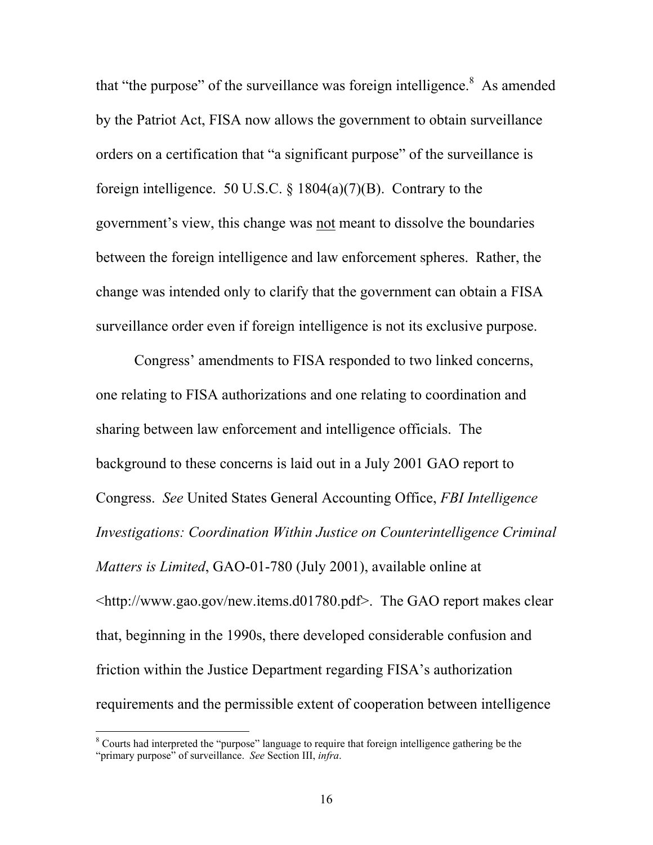that "the purpose" of the surveillance was foreign intelligence. $8$  As amended by the Patriot Act, FISA now allows the government to obtain surveillance orders on a certification that "a significant purpose" of the surveillance is foreign intelligence. 50 U.S.C. § 1804(a)(7)(B). Contrary to the government's view, this change was not meant to dissolve the boundaries between the foreign intelligence and law enforcement spheres. Rather, the change was intended only to clarify that the government can obtain a FISA surveillance order even if foreign intelligence is not its exclusive purpose.

Congress' amendments to FISA responded to two linked concerns, one relating to FISA authorizations and one relating to coordination and sharing between law enforcement and intelligence officials. The background to these concerns is laid out in a July 2001 GAO report to Congress. *See* United States General Accounting Office, *FBI Intelligence Investigations: Coordination Within Justice on Counterintelligence Criminal Matters is Limited*, GAO-01-780 (July 2001), available online at <http://www.gao.gov/new.items.d01780.pdf>. The GAO report makes clear that, beginning in the 1990s, there developed considerable confusion and friction within the Justice Department regarding FISA's authorization requirements and the permissible extent of cooperation between intelligence

<sup>&</sup>lt;sup>8</sup> Courts had interpreted the "purpose" language to require that foreign intelligence gathering be the "primary purpose" of surveillance. *See* Section III, *infra*.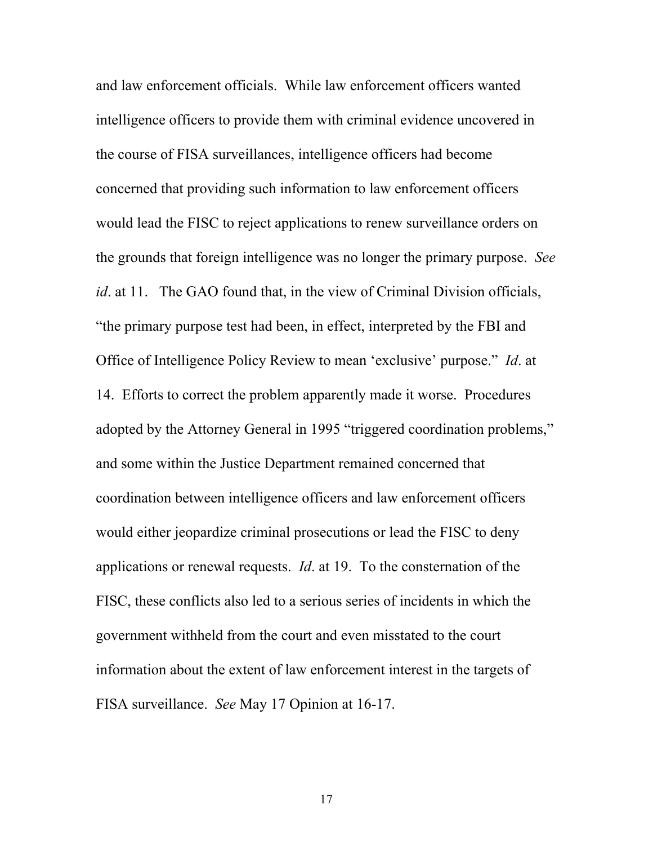and law enforcement officials. While law enforcement officers wanted intelligence officers to provide them with criminal evidence uncovered in the course of FISA surveillances, intelligence officers had become concerned that providing such information to law enforcement officers would lead the FISC to reject applications to renew surveillance orders on the grounds that foreign intelligence was no longer the primary purpose. *See id.* at 11. The GAO found that, in the view of Criminal Division officials, "the primary purpose test had been, in effect, interpreted by the FBI and Office of Intelligence Policy Review to mean 'exclusive' purpose." *Id*. at 14. Efforts to correct the problem apparently made it worse. Procedures adopted by the Attorney General in 1995 "triggered coordination problems," and some within the Justice Department remained concerned that coordination between intelligence officers and law enforcement officers would either jeopardize criminal prosecutions or lead the FISC to deny applications or renewal requests. *Id*. at 19. To the consternation of the FISC, these conflicts also led to a serious series of incidents in which the government withheld from the court and even misstated to the court information about the extent of law enforcement interest in the targets of FISA surveillance. *See* May 17 Opinion at 16-17.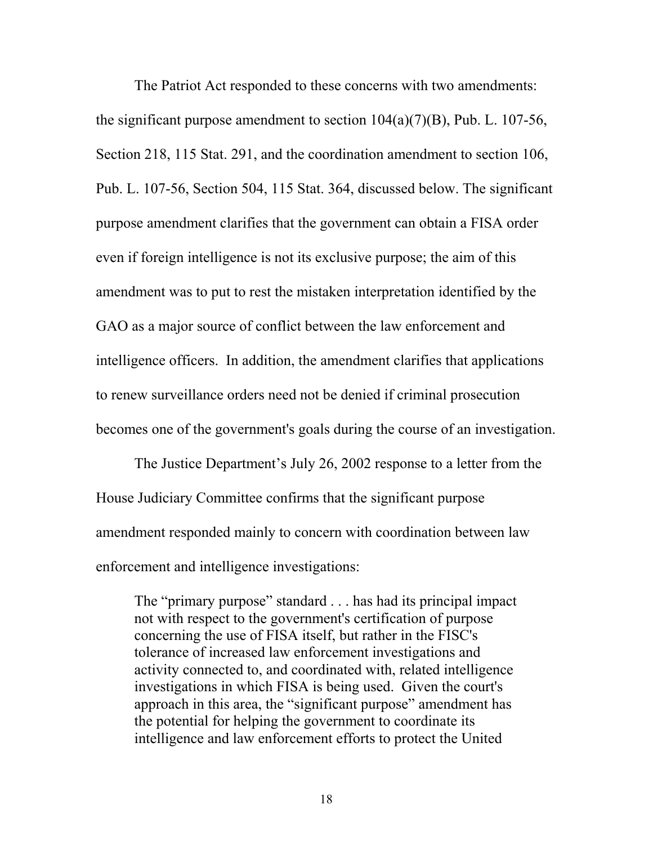The Patriot Act responded to these concerns with two amendments: the significant purpose amendment to section  $104(a)(7)(B)$ , Pub. L. 107-56, Section 218, 115 Stat. 291, and the coordination amendment to section 106, Pub. L. 107-56, Section 504, 115 Stat. 364, discussed below. The significant purpose amendment clarifies that the government can obtain a FISA order even if foreign intelligence is not its exclusive purpose; the aim of this amendment was to put to rest the mistaken interpretation identified by the GAO as a major source of conflict between the law enforcement and intelligence officers. In addition, the amendment clarifies that applications to renew surveillance orders need not be denied if criminal prosecution becomes one of the government's goals during the course of an investigation.

The Justice Department's July 26, 2002 response to a letter from the House Judiciary Committee confirms that the significant purpose amendment responded mainly to concern with coordination between law enforcement and intelligence investigations:

The "primary purpose" standard . . . has had its principal impact not with respect to the government's certification of purpose concerning the use of FISA itself, but rather in the FISC's tolerance of increased law enforcement investigations and activity connected to, and coordinated with, related intelligence investigations in which FISA is being used. Given the court's approach in this area, the "significant purpose" amendment has the potential for helping the government to coordinate its intelligence and law enforcement efforts to protect the United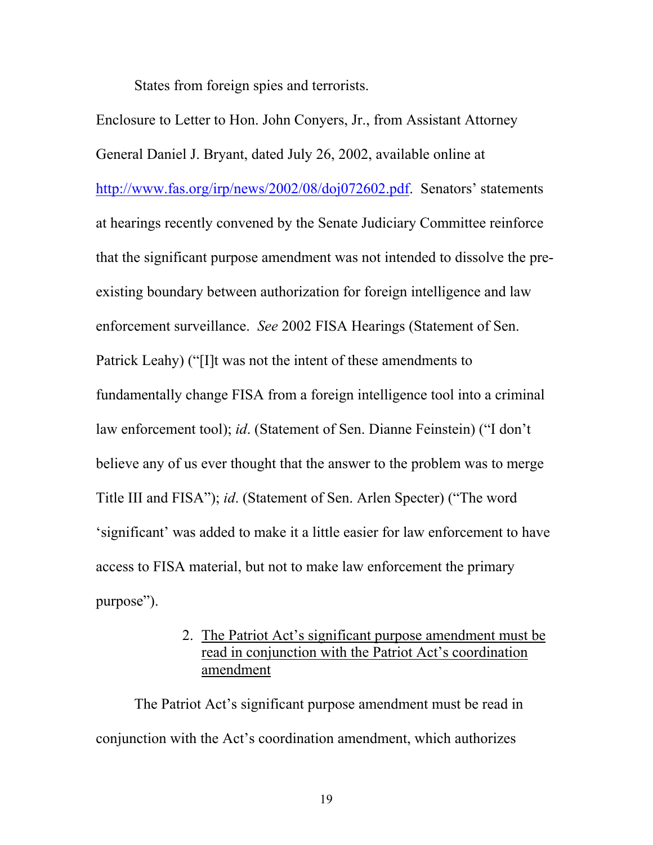States from foreign spies and terrorists.

Enclosure to Letter to Hon. John Conyers, Jr., from Assistant Attorney General Daniel J. Bryant, dated July 26, 2002, available online at http://www.fas.org/irp/news/2002/08/doj072602.pdf. Senators' statements at hearings recently convened by the Senate Judiciary Committee reinforce that the significant purpose amendment was not intended to dissolve the preexisting boundary between authorization for foreign intelligence and law enforcement surveillance. *See* 2002 FISA Hearings (Statement of Sen. Patrick Leahy) ("[I]t was not the intent of these amendments to fundamentally change FISA from a foreign intelligence tool into a criminal law enforcement tool); *id*. (Statement of Sen. Dianne Feinstein) ("I don't believe any of us ever thought that the answer to the problem was to merge Title III and FISA"); *id*. (Statement of Sen. Arlen Specter) ("The word 'significant' was added to make it a little easier for law enforcement to have access to FISA material, but not to make law enforcement the primary purpose").

> 2. The Patriot Act's significant purpose amendment must be read in conjunction with the Patriot Act's coordination amendment

The Patriot Act's significant purpose amendment must be read in conjunction with the Act's coordination amendment, which authorizes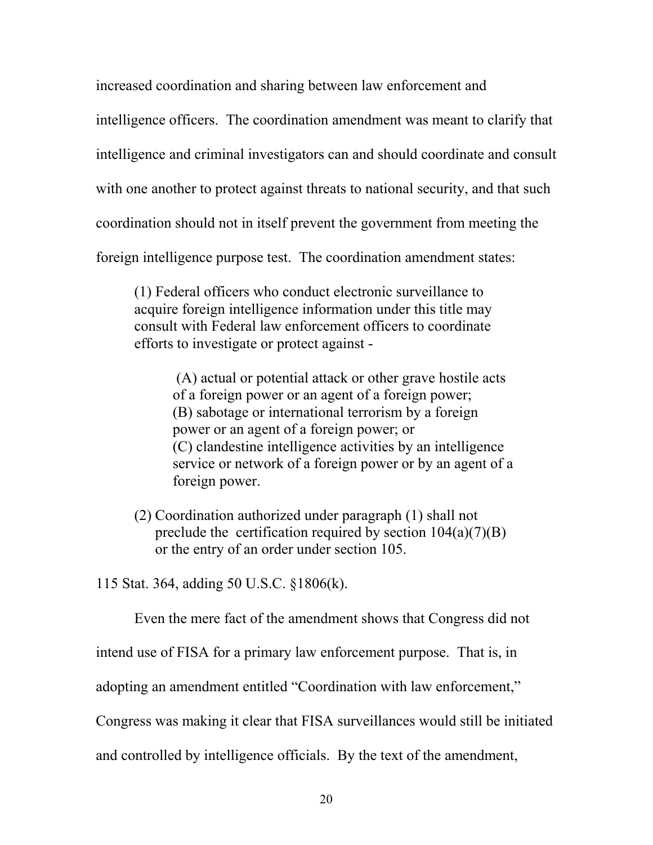increased coordination and sharing between law enforcement and

intelligence officers. The coordination amendment was meant to clarify that

intelligence and criminal investigators can and should coordinate and consult

with one another to protect against threats to national security, and that such

coordination should not in itself prevent the government from meeting the

foreign intelligence purpose test. The coordination amendment states:

(1) Federal officers who conduct electronic surveillance to acquire foreign intelligence information under this title may consult with Federal law enforcement officers to coordinate efforts to investigate or protect against -

> (A) actual or potential attack or other grave hostile acts of a foreign power or an agent of a foreign power; (B) sabotage or international terrorism by a foreign power or an agent of a foreign power; or (C) clandestine intelligence activities by an intelligence service or network of a foreign power or by an agent of a foreign power.

(2) Coordination authorized under paragraph (1) shall not preclude the certification required by section  $104(a)(7)(B)$ or the entry of an order under section 105.

115 Stat. 364, adding 50 U.S.C. §1806(k).

Even the mere fact of the amendment shows that Congress did not

intend use of FISA for a primary law enforcement purpose. That is, in

adopting an amendment entitled "Coordination with law enforcement,"

Congress was making it clear that FISA surveillances would still be initiated

and controlled by intelligence officials. By the text of the amendment,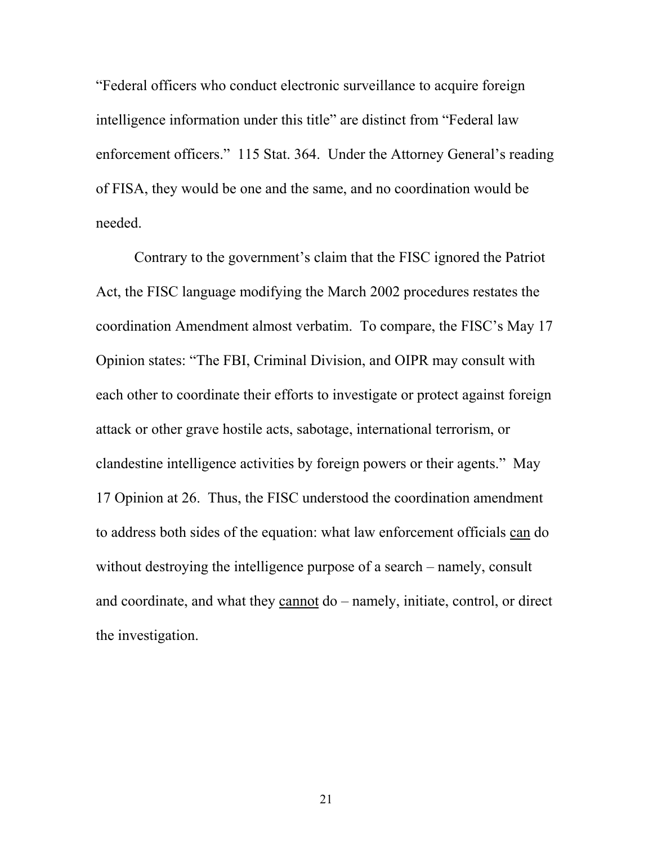"Federal officers who conduct electronic surveillance to acquire foreign intelligence information under this title" are distinct from "Federal law enforcement officers." 115 Stat. 364. Under the Attorney General's reading of FISA, they would be one and the same, and no coordination would be needed.

Contrary to the government's claim that the FISC ignored the Patriot Act, the FISC language modifying the March 2002 procedures restates the coordination Amendment almost verbatim. To compare, the FISC's May 17 Opinion states: "The FBI, Criminal Division, and OIPR may consult with each other to coordinate their efforts to investigate or protect against foreign attack or other grave hostile acts, sabotage, international terrorism, or clandestine intelligence activities by foreign powers or their agents." May 17 Opinion at 26. Thus, the FISC understood the coordination amendment to address both sides of the equation: what law enforcement officials can do without destroying the intelligence purpose of a search – namely, consult and coordinate, and what they cannot do – namely, initiate, control, or direct the investigation.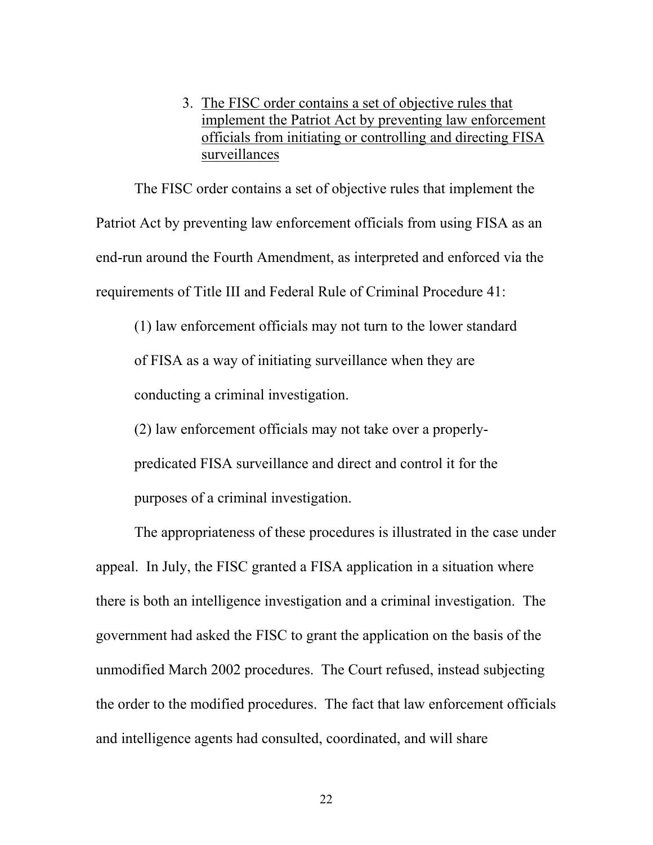### 3. The FISC order contains a set of objective rules that implement the Patriot Act by preventing law enforcement officials from initiating or controlling and directing FISA surveillances

The FISC order contains a set of objective rules that implement the Patriot Act by preventing law enforcement officials from using FISA as an end-run around the Fourth Amendment, as interpreted and enforced via the requirements of Title III and Federal Rule of Criminal Procedure 41:

(1) law enforcement officials may not turn to the lower standard of FISA as a way of initiating surveillance when they are conducting a criminal investigation.

(2) law enforcement officials may not take over a properly-

predicated FISA surveillance and direct and control it for the purposes of a criminal investigation.

The appropriateness of these procedures is illustrated in the case under appeal. In July, the FISC granted a FISA application in a situation where there is both an intelligence investigation and a criminal investigation. The government had asked the FISC to grant the application on the basis of the unmodified March 2002 procedures. The Court refused, instead subjecting the order to the modified procedures. The fact that law enforcement officials and intelligence agents had consulted, coordinated, and will share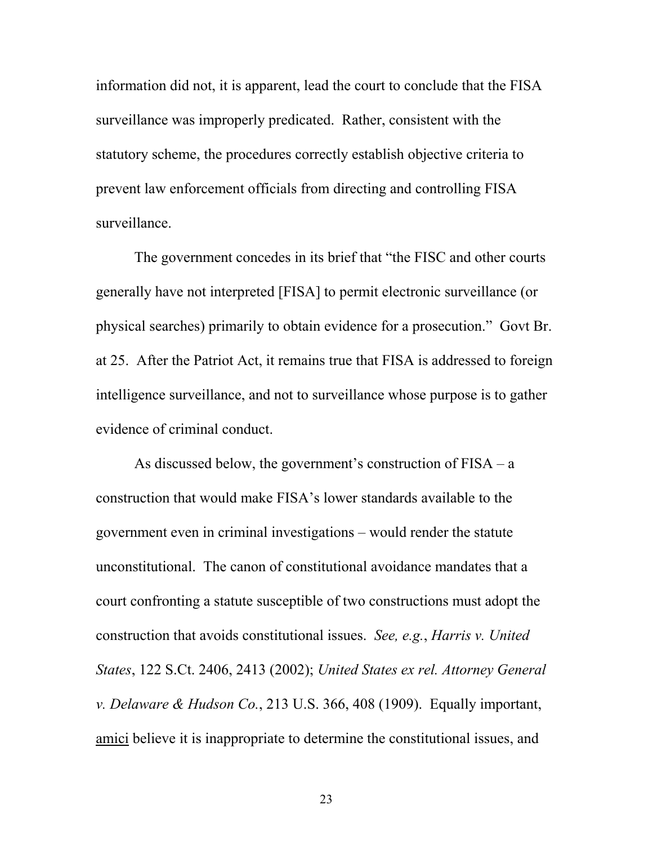information did not, it is apparent, lead the court to conclude that the FISA surveillance was improperly predicated. Rather, consistent with the statutory scheme, the procedures correctly establish objective criteria to prevent law enforcement officials from directing and controlling FISA surveillance.

The government concedes in its brief that "the FISC and other courts generally have not interpreted [FISA] to permit electronic surveillance (or physical searches) primarily to obtain evidence for a prosecution." Govt Br. at 25. After the Patriot Act, it remains true that FISA is addressed to foreign intelligence surveillance, and not to surveillance whose purpose is to gather evidence of criminal conduct.

As discussed below, the government's construction of FISA – a construction that would make FISA's lower standards available to the government even in criminal investigations – would render the statute unconstitutional. The canon of constitutional avoidance mandates that a court confronting a statute susceptible of two constructions must adopt the construction that avoids constitutional issues. *See, e.g.*, *Harris v. United States*, 122 S.Ct. 2406, 2413 (2002); *United States ex rel. Attorney General v. Delaware & Hudson Co.*, 213 U.S. 366, 408 (1909). Equally important, amici believe it is inappropriate to determine the constitutional issues, and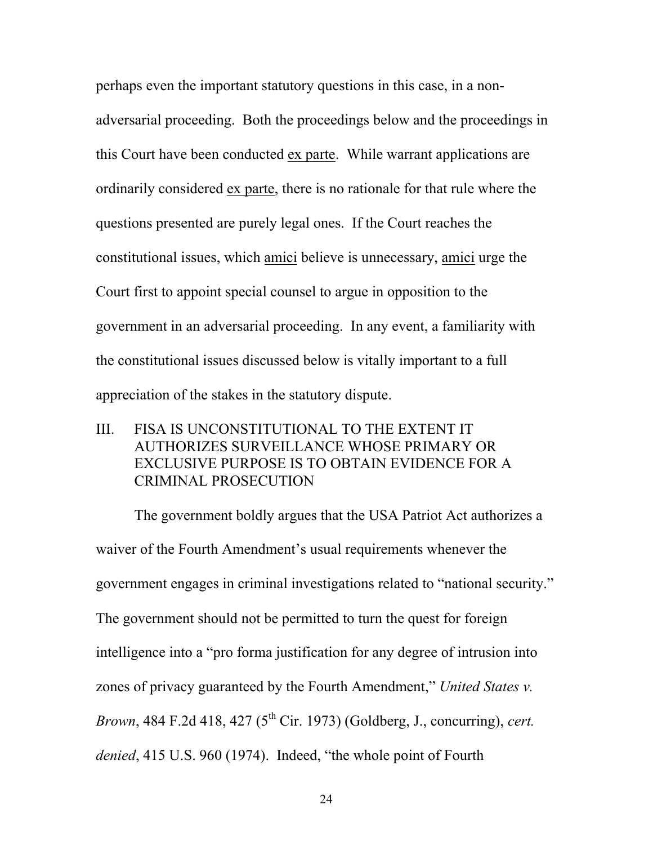perhaps even the important statutory questions in this case, in a nonadversarial proceeding. Both the proceedings below and the proceedings in this Court have been conducted ex parte. While warrant applications are ordinarily considered ex parte, there is no rationale for that rule where the questions presented are purely legal ones. If the Court reaches the constitutional issues, which amici believe is unnecessary, amici urge the Court first to appoint special counsel to argue in opposition to the government in an adversarial proceeding. In any event, a familiarity with the constitutional issues discussed below is vitally important to a full appreciation of the stakes in the statutory dispute.

III. FISA IS UNCONSTITUTIONAL TO THE EXTENT IT AUTHORIZES SURVEILLANCE WHOSE PRIMARY OR EXCLUSIVE PURPOSE IS TO OBTAIN EVIDENCE FOR A CRIMINAL PROSECUTION

The government boldly argues that the USA Patriot Act authorizes a waiver of the Fourth Amendment's usual requirements whenever the government engages in criminal investigations related to "national security." The government should not be permitted to turn the quest for foreign intelligence into a "pro forma justification for any degree of intrusion into zones of privacy guaranteed by the Fourth Amendment," *United States v. Brown*, 484 F.2d 418, 427 (5<sup>th</sup> Cir. 1973) (Goldberg, J., concurring), *cert. denied*, 415 U.S. 960 (1974). Indeed, "the whole point of Fourth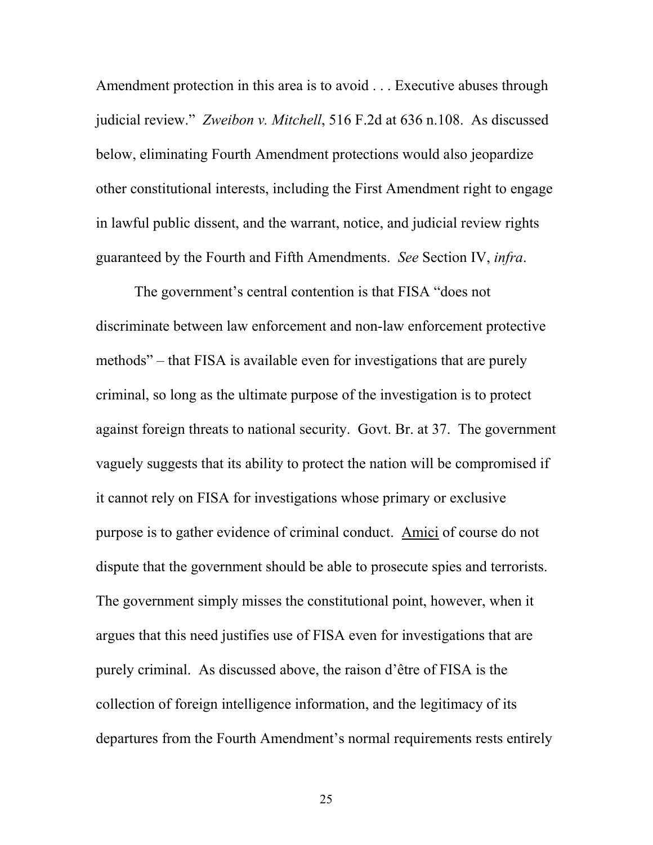Amendment protection in this area is to avoid . . . Executive abuses through judicial review." *Zweibon v. Mitchell*, 516 F.2d at 636 n.108. As discussed below, eliminating Fourth Amendment protections would also jeopardize other constitutional interests, including the First Amendment right to engage in lawful public dissent, and the warrant, notice, and judicial review rights guaranteed by the Fourth and Fifth Amendments. *See* Section IV, *infra*.

The government's central contention is that FISA "does not discriminate between law enforcement and non-law enforcement protective methods" – that FISA is available even for investigations that are purely criminal, so long as the ultimate purpose of the investigation is to protect against foreign threats to national security. Govt. Br. at 37. The government vaguely suggests that its ability to protect the nation will be compromised if it cannot rely on FISA for investigations whose primary or exclusive purpose is to gather evidence of criminal conduct. Amici of course do not dispute that the government should be able to prosecute spies and terrorists. The government simply misses the constitutional point, however, when it argues that this need justifies use of FISA even for investigations that are purely criminal. As discussed above, the raison d'être of FISA is the collection of foreign intelligence information, and the legitimacy of its departures from the Fourth Amendment's normal requirements rests entirely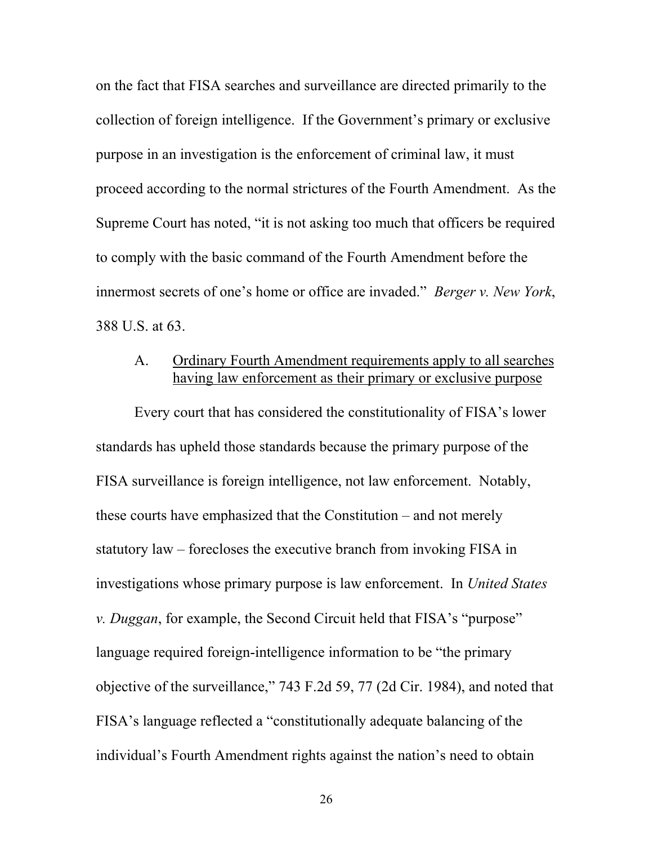on the fact that FISA searches and surveillance are directed primarily to the collection of foreign intelligence. If the Government's primary or exclusive purpose in an investigation is the enforcement of criminal law, it must proceed according to the normal strictures of the Fourth Amendment. As the Supreme Court has noted, "it is not asking too much that officers be required to comply with the basic command of the Fourth Amendment before the innermost secrets of one's home or office are invaded." *Berger v. New York*, 388 U.S. at 63.

#### A. Ordinary Fourth Amendment requirements apply to all searches having law enforcement as their primary or exclusive purpose

 Every court that has considered the constitutionality of FISA's lower standards has upheld those standards because the primary purpose of the FISA surveillance is foreign intelligence, not law enforcement. Notably, these courts have emphasized that the Constitution – and not merely statutory law – forecloses the executive branch from invoking FISA in investigations whose primary purpose is law enforcement. In *United States v. Duggan*, for example, the Second Circuit held that FISA's "purpose" language required foreign-intelligence information to be "the primary objective of the surveillance," 743 F.2d 59, 77 (2d Cir. 1984), and noted that FISA's language reflected a "constitutionally adequate balancing of the individual's Fourth Amendment rights against the nation's need to obtain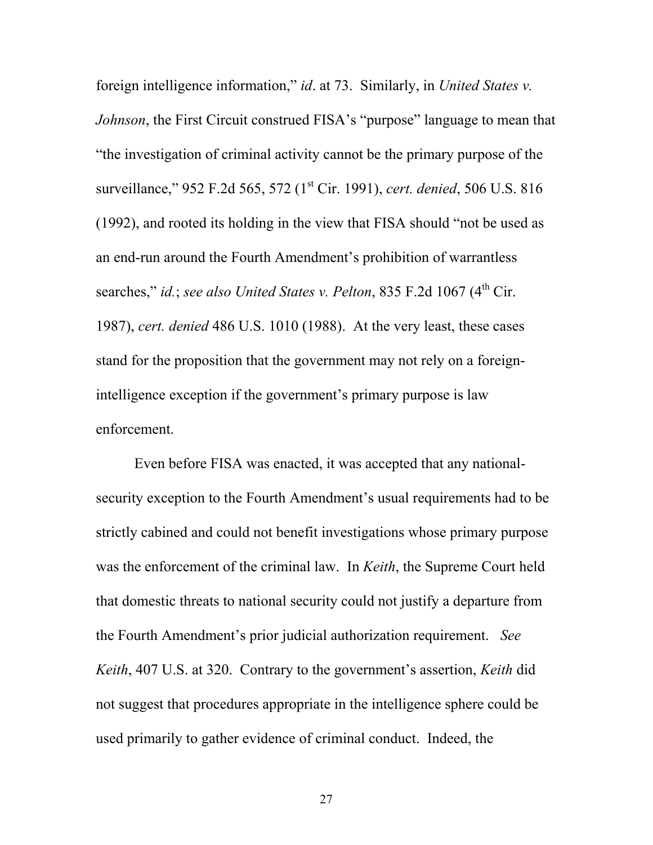foreign intelligence information," *id*. at 73. Similarly, in *United States v. Johnson*, the First Circuit construed FISA's "purpose" language to mean that "the investigation of criminal activity cannot be the primary purpose of the surveillance," 952 F.2d 565, 572 (1<sup>st</sup> Cir. 1991), *cert. denied*, 506 U.S. 816 (1992), and rooted its holding in the view that FISA should "not be used as an end-run around the Fourth Amendment's prohibition of warrantless searches," *id.*; *see also United States v. Pelton*, 835 F.2d 1067 (4<sup>th</sup> Cir. 1987), *cert. denied* 486 U.S. 1010 (1988). At the very least, these cases stand for the proposition that the government may not rely on a foreignintelligence exception if the government's primary purpose is law enforcement.

 Even before FISA was enacted, it was accepted that any nationalsecurity exception to the Fourth Amendment's usual requirements had to be strictly cabined and could not benefit investigations whose primary purpose was the enforcement of the criminal law. In *Keith*, the Supreme Court held that domestic threats to national security could not justify a departure from the Fourth Amendment's prior judicial authorization requirement. *See Keith*, 407 U.S. at 320. Contrary to the government's assertion, *Keith* did not suggest that procedures appropriate in the intelligence sphere could be used primarily to gather evidence of criminal conduct. Indeed, the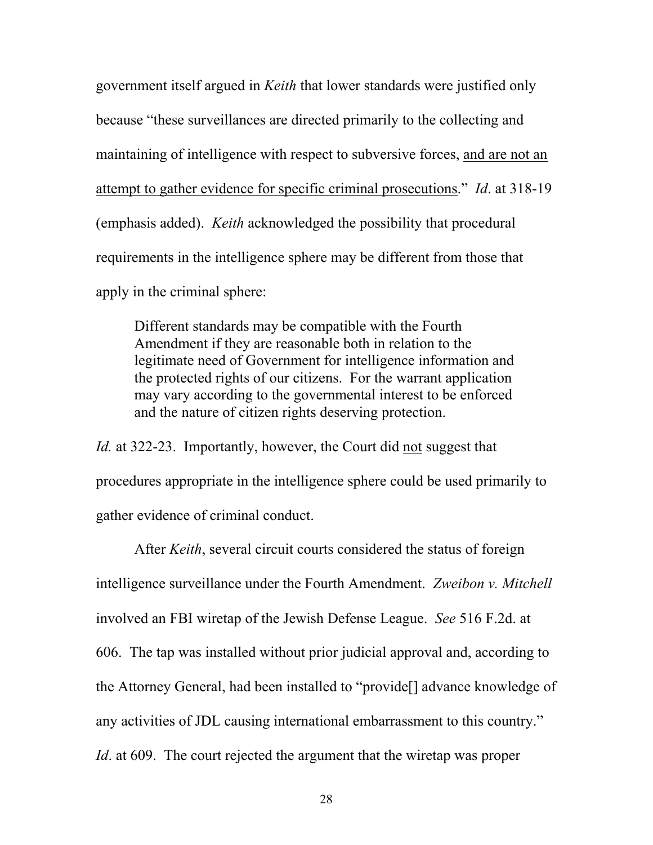government itself argued in *Keith* that lower standards were justified only because "these surveillances are directed primarily to the collecting and maintaining of intelligence with respect to subversive forces, and are not an attempt to gather evidence for specific criminal prosecutions." *Id*. at 318-19 (emphasis added). *Keith* acknowledged the possibility that procedural requirements in the intelligence sphere may be different from those that apply in the criminal sphere:

Different standards may be compatible with the Fourth Amendment if they are reasonable both in relation to the legitimate need of Government for intelligence information and the protected rights of our citizens. For the warrant application may vary according to the governmental interest to be enforced and the nature of citizen rights deserving protection.

*Id.* at 322-23. Importantly, however, the Court did not suggest that procedures appropriate in the intelligence sphere could be used primarily to gather evidence of criminal conduct.

After *Keith*, several circuit courts considered the status of foreign intelligence surveillance under the Fourth Amendment. *Zweibon v. Mitchell* involved an FBI wiretap of the Jewish Defense League. *See* 516 F.2d. at 606. The tap was installed without prior judicial approval and, according to the Attorney General, had been installed to "provide[] advance knowledge of any activities of JDL causing international embarrassment to this country." *Id*. at 609. The court rejected the argument that the wiretap was proper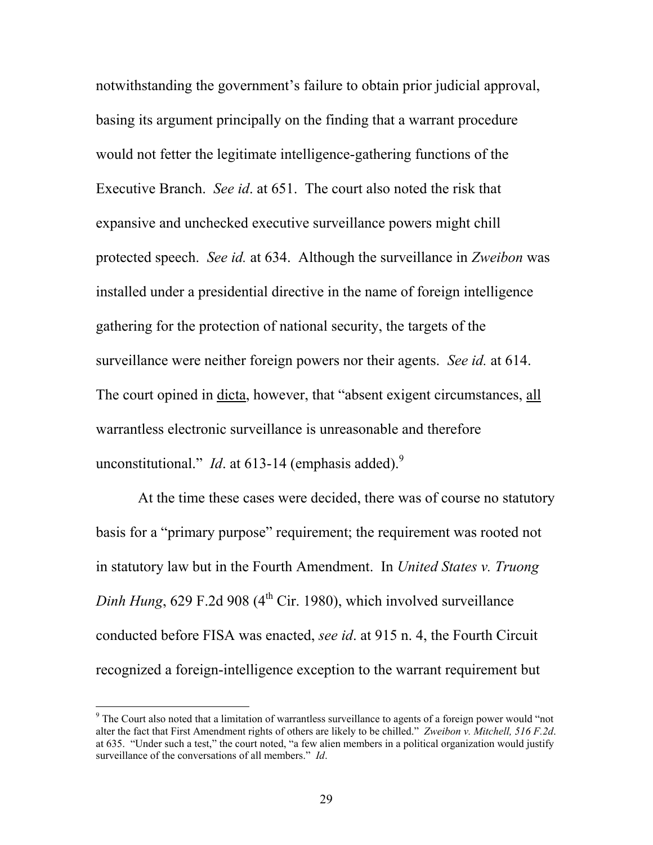notwithstanding the government's failure to obtain prior judicial approval, basing its argument principally on the finding that a warrant procedure would not fetter the legitimate intelligence-gathering functions of the Executive Branch. *See id*. at 651. The court also noted the risk that expansive and unchecked executive surveillance powers might chill protected speech. *See id.* at 634. Although the surveillance in *Zweibon* was installed under a presidential directive in the name of foreign intelligence gathering for the protection of national security, the targets of the surveillance were neither foreign powers nor their agents. *See id.* at 614. The court opined in dicta, however, that "absent exigent circumstances, all warrantless electronic surveillance is unreasonable and therefore unconstitutional." *Id.* at 613-14 (emphasis added).<sup>9</sup>

 At the time these cases were decided, there was of course no statutory basis for a "primary purpose" requirement; the requirement was rooted not in statutory law but in the Fourth Amendment. In *United States v. Truong Dinh Hung*, 629 F.2d 908 ( $4<sup>th</sup>$  Cir. 1980), which involved surveillance conducted before FISA was enacted, *see id*. at 915 n. 4, the Fourth Circuit recognized a foreign-intelligence exception to the warrant requirement but

<sup>&</sup>lt;sup>9</sup> The Court also noted that a limitation of warrantless surveillance to agents of a foreign power would "not alter the fact that First Amendment rights of others are likely to be chilled." *Zweibon v. Mitchell, 516 F.2d*. at 635. "Under such a test," the court noted, "a few alien members in a political organization would justify surveillance of the conversations of all members." *Id*.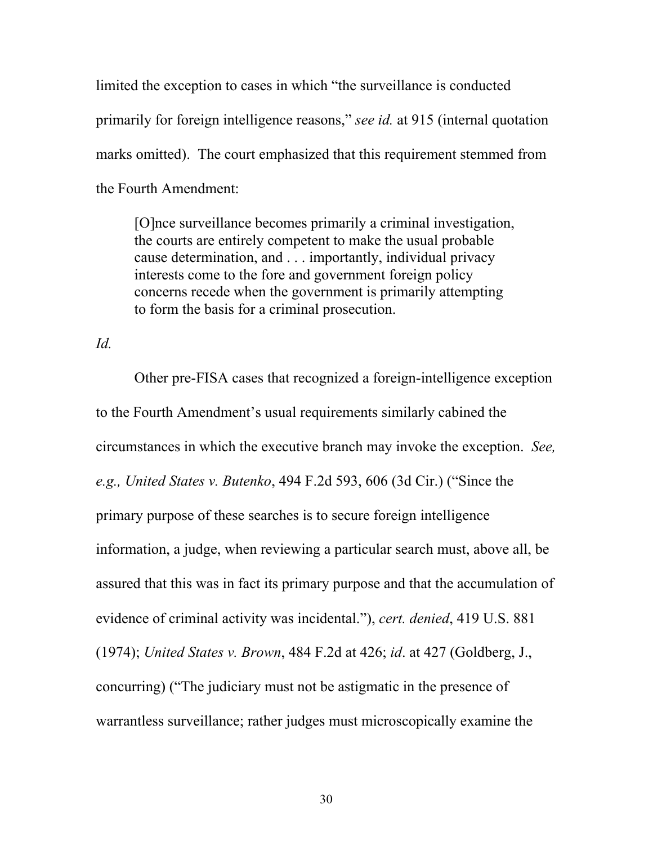limited the exception to cases in which "the surveillance is conducted primarily for foreign intelligence reasons," *see id.* at 915 (internal quotation marks omitted). The court emphasized that this requirement stemmed from the Fourth Amendment:

[O]nce surveillance becomes primarily a criminal investigation, the courts are entirely competent to make the usual probable cause determination, and . . . importantly, individual privacy interests come to the fore and government foreign policy concerns recede when the government is primarily attempting to form the basis for a criminal prosecution.

#### *Id.*

 Other pre-FISA cases that recognized a foreign-intelligence exception to the Fourth Amendment's usual requirements similarly cabined the circumstances in which the executive branch may invoke the exception. *See, e.g., United States v. Butenko*, 494 F.2d 593, 606 (3d Cir.) ("Since the primary purpose of these searches is to secure foreign intelligence information, a judge, when reviewing a particular search must, above all, be assured that this was in fact its primary purpose and that the accumulation of evidence of criminal activity was incidental."), *cert. denied*, 419 U.S. 881 (1974); *United States v. Brown*, 484 F.2d at 426; *id*. at 427 (Goldberg, J., concurring) ("The judiciary must not be astigmatic in the presence of warrantless surveillance; rather judges must microscopically examine the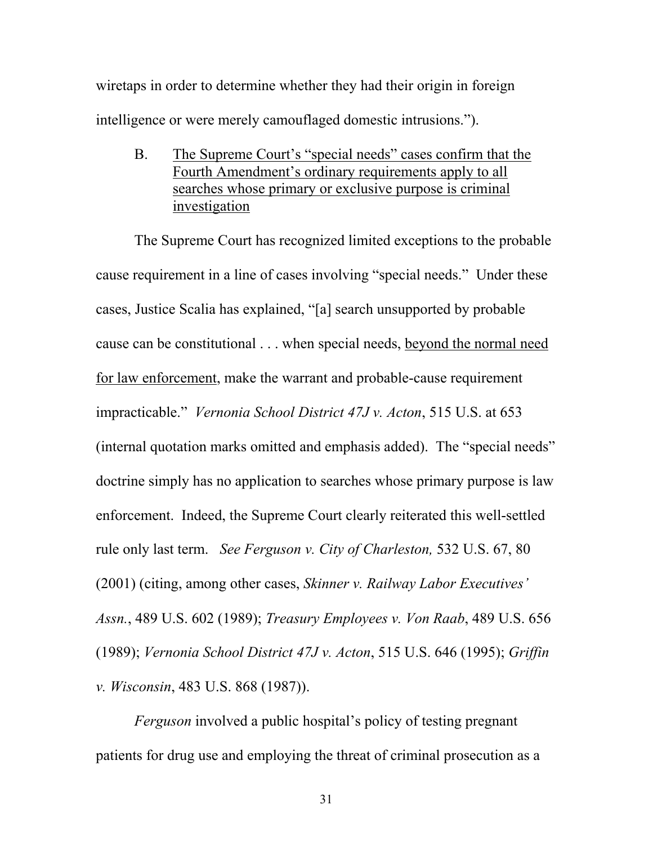wiretaps in order to determine whether they had their origin in foreign intelligence or were merely camouflaged domestic intrusions.").

B. The Supreme Court's "special needs" cases confirm that the Fourth Amendment's ordinary requirements apply to all searches whose primary or exclusive purpose is criminal investigation

The Supreme Court has recognized limited exceptions to the probable cause requirement in a line of cases involving "special needs." Under these cases, Justice Scalia has explained, "[a] search unsupported by probable cause can be constitutional . . . when special needs, beyond the normal need for law enforcement, make the warrant and probable-cause requirement impracticable." *Vernonia School District 47J v. Acton*, 515 U.S. at 653 (internal quotation marks omitted and emphasis added). The "special needs" doctrine simply has no application to searches whose primary purpose is law enforcement. Indeed, the Supreme Court clearly reiterated this well-settled rule only last term. *See Ferguson v. City of Charleston,* 532 U.S. 67, 80 (2001) (citing, among other cases, *Skinner v. Railway Labor Executives' Assn.*, 489 U.S. 602 (1989); *Treasury Employees v. Von Raab*, 489 U.S. 656 (1989); *Vernonia School District 47J v. Acton*, 515 U.S. 646 (1995); *Griffin v. Wisconsin*, 483 U.S. 868 (1987)).

*Ferguson* involved a public hospital's policy of testing pregnant patients for drug use and employing the threat of criminal prosecution as a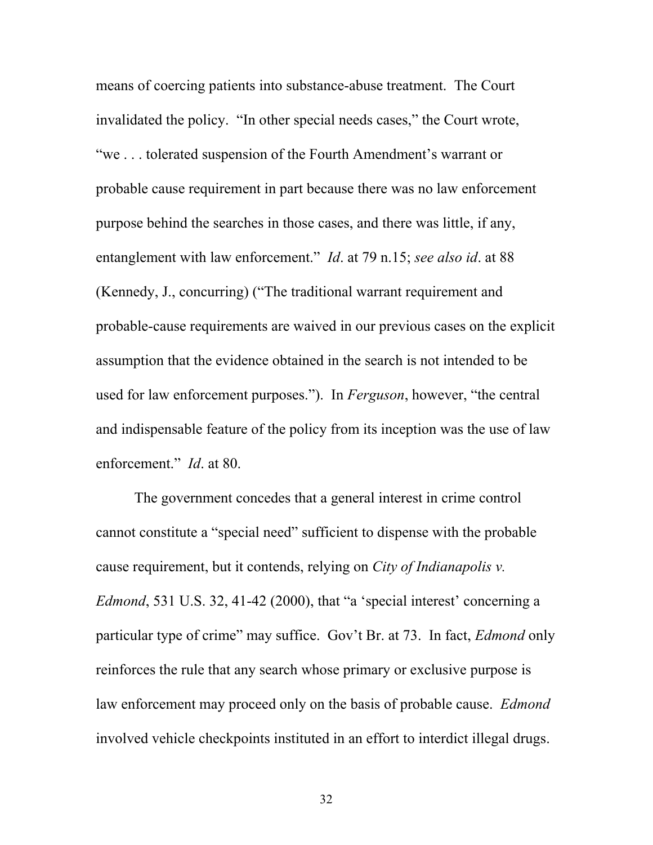means of coercing patients into substance-abuse treatment. The Court invalidated the policy. "In other special needs cases," the Court wrote, "we . . . tolerated suspension of the Fourth Amendment's warrant or probable cause requirement in part because there was no law enforcement purpose behind the searches in those cases, and there was little, if any, entanglement with law enforcement." *Id*. at 79 n.15; *see also id*. at 88 (Kennedy, J., concurring) ("The traditional warrant requirement and probable-cause requirements are waived in our previous cases on the explicit assumption that the evidence obtained in the search is not intended to be used for law enforcement purposes."). In *Ferguson*, however, "the central and indispensable feature of the policy from its inception was the use of law enforcement." *Id*. at 80.

The government concedes that a general interest in crime control cannot constitute a "special need" sufficient to dispense with the probable cause requirement, but it contends, relying on *City of Indianapolis v. Edmond*, 531 U.S. 32, 41-42 (2000), that "a 'special interest' concerning a particular type of crime" may suffice. Gov't Br. at 73. In fact, *Edmond* only reinforces the rule that any search whose primary or exclusive purpose is law enforcement may proceed only on the basis of probable cause. *Edmond* involved vehicle checkpoints instituted in an effort to interdict illegal drugs.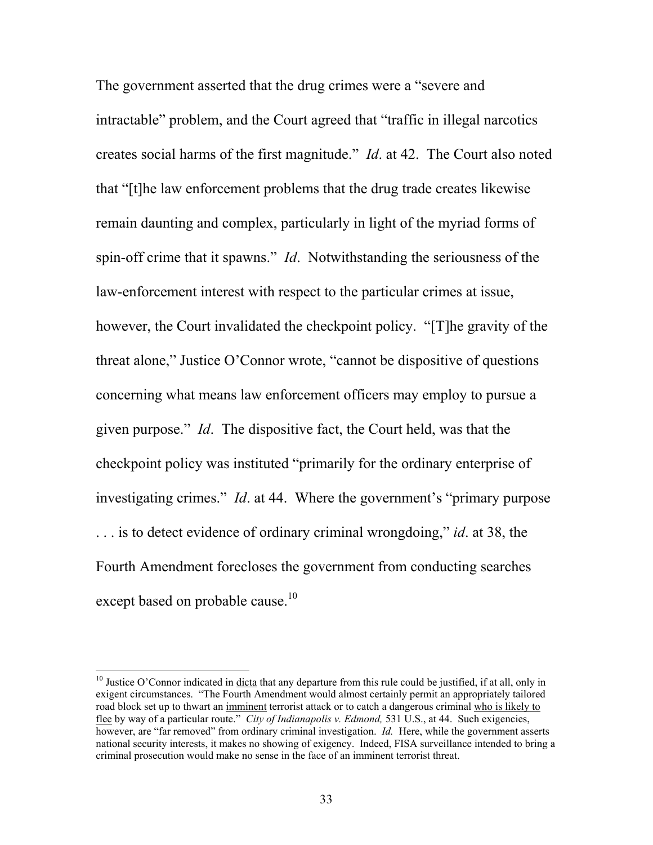The government asserted that the drug crimes were a "severe and intractable" problem, and the Court agreed that "traffic in illegal narcotics creates social harms of the first magnitude." *Id*. at 42. The Court also noted that "[t]he law enforcement problems that the drug trade creates likewise remain daunting and complex, particularly in light of the myriad forms of spin-off crime that it spawns." *Id*. Notwithstanding the seriousness of the law-enforcement interest with respect to the particular crimes at issue, however, the Court invalidated the checkpoint policy. "[T]he gravity of the threat alone," Justice O'Connor wrote, "cannot be dispositive of questions concerning what means law enforcement officers may employ to pursue a given purpose." *Id*. The dispositive fact, the Court held, was that the checkpoint policy was instituted "primarily for the ordinary enterprise of investigating crimes." *Id*. at 44. Where the government's "primary purpose . . . is to detect evidence of ordinary criminal wrongdoing," *id*. at 38, the Fourth Amendment forecloses the government from conducting searches except based on probable cause.<sup>10</sup>

 $10$  Justice O'Connor indicated in dicta that any departure from this rule could be justified, if at all, only in exigent circumstances. "The Fourth Amendment would almost certainly permit an appropriately tailored road block set up to thwart an imminent terrorist attack or to catch a dangerous criminal who is likely to flee by way of a particular route." *City of Indianapolis v. Edmond,* 531 U.S., at 44. Such exigencies, however, are "far removed" from ordinary criminal investigation. *Id.* Here, while the government asserts national security interests, it makes no showing of exigency. Indeed, FISA surveillance intended to bring a criminal prosecution would make no sense in the face of an imminent terrorist threat.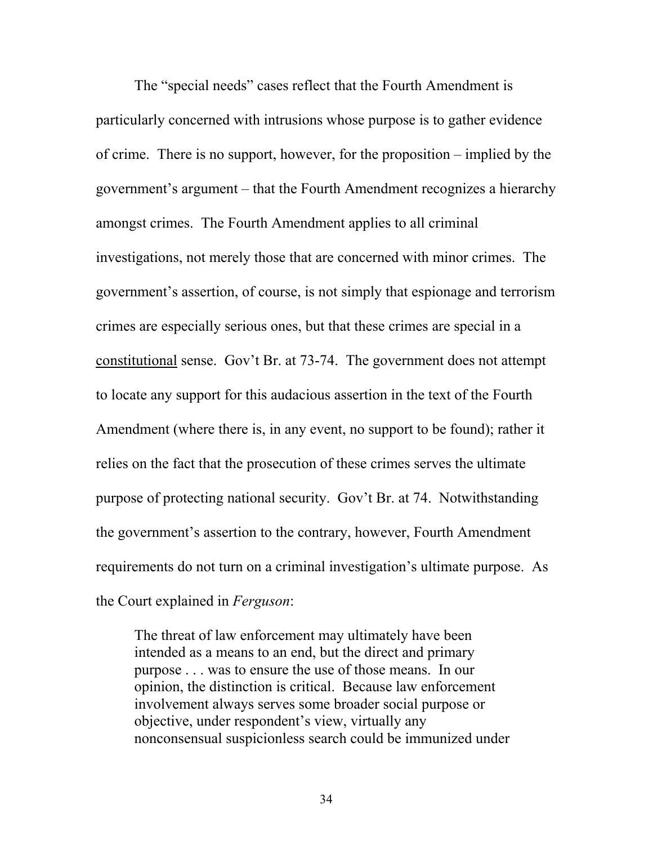The "special needs" cases reflect that the Fourth Amendment is particularly concerned with intrusions whose purpose is to gather evidence of crime. There is no support, however, for the proposition – implied by the government's argument – that the Fourth Amendment recognizes a hierarchy amongst crimes. The Fourth Amendment applies to all criminal investigations, not merely those that are concerned with minor crimes. The government's assertion, of course, is not simply that espionage and terrorism crimes are especially serious ones, but that these crimes are special in a constitutional sense. Gov't Br. at 73-74. The government does not attempt to locate any support for this audacious assertion in the text of the Fourth Amendment (where there is, in any event, no support to be found); rather it relies on the fact that the prosecution of these crimes serves the ultimate purpose of protecting national security. Gov't Br. at 74. Notwithstanding the government's assertion to the contrary, however, Fourth Amendment requirements do not turn on a criminal investigation's ultimate purpose. As the Court explained in *Ferguson*:

The threat of law enforcement may ultimately have been intended as a means to an end, but the direct and primary purpose . . . was to ensure the use of those means. In our opinion, the distinction is critical. Because law enforcement involvement always serves some broader social purpose or objective, under respondent's view, virtually any nonconsensual suspicionless search could be immunized under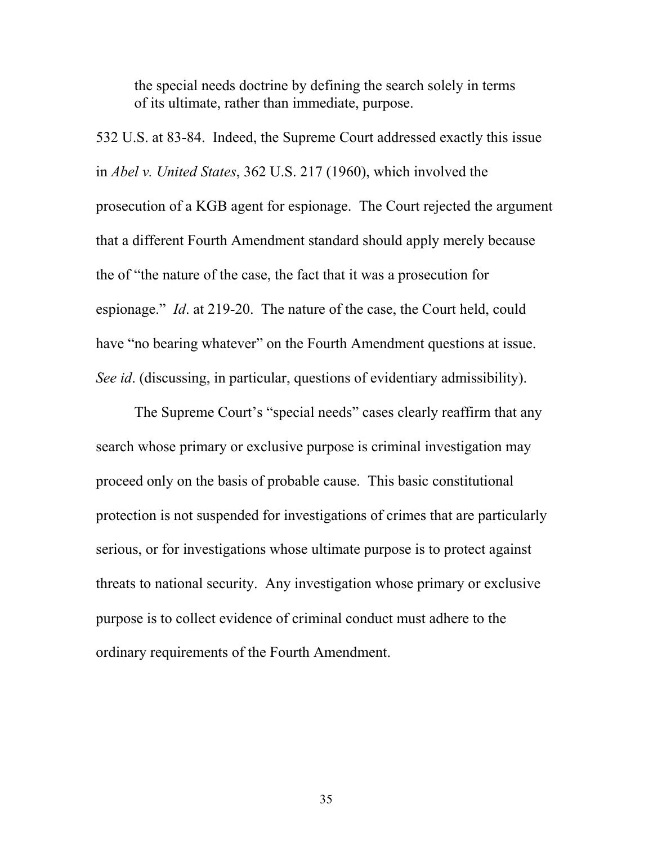the special needs doctrine by defining the search solely in terms of its ultimate, rather than immediate, purpose.

532 U.S. at 83-84. Indeed, the Supreme Court addressed exactly this issue in *Abel v. United States*, 362 U.S. 217 (1960), which involved the prosecution of a KGB agent for espionage. The Court rejected the argument that a different Fourth Amendment standard should apply merely because the of "the nature of the case, the fact that it was a prosecution for espionage." *Id*. at 219-20. The nature of the case, the Court held, could have "no bearing whatever" on the Fourth Amendment questions at issue. *See id*. (discussing, in particular, questions of evidentiary admissibility).

The Supreme Court's "special needs" cases clearly reaffirm that any search whose primary or exclusive purpose is criminal investigation may proceed only on the basis of probable cause. This basic constitutional protection is not suspended for investigations of crimes that are particularly serious, or for investigations whose ultimate purpose is to protect against threats to national security. Any investigation whose primary or exclusive purpose is to collect evidence of criminal conduct must adhere to the ordinary requirements of the Fourth Amendment.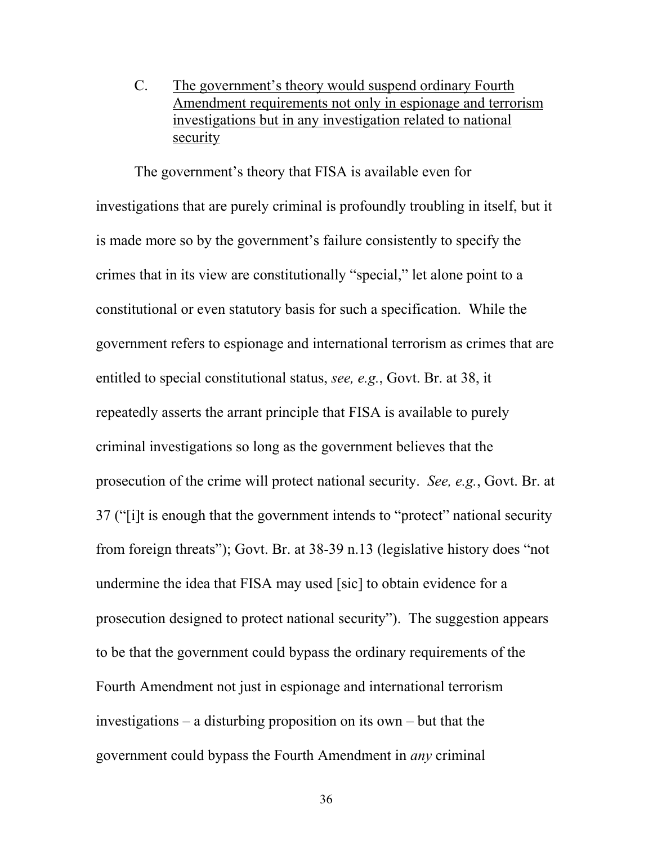C. The government's theory would suspend ordinary Fourth Amendment requirements not only in espionage and terrorism investigations but in any investigation related to national security

The government's theory that FISA is available even for investigations that are purely criminal is profoundly troubling in itself, but it is made more so by the government's failure consistently to specify the crimes that in its view are constitutionally "special," let alone point to a constitutional or even statutory basis for such a specification. While the government refers to espionage and international terrorism as crimes that are entitled to special constitutional status, *see, e.g.*, Govt. Br. at 38, it repeatedly asserts the arrant principle that FISA is available to purely criminal investigations so long as the government believes that the prosecution of the crime will protect national security. *See, e.g.*, Govt. Br. at 37 ("[i]t is enough that the government intends to "protect" national security from foreign threats"); Govt. Br. at 38-39 n.13 (legislative history does "not undermine the idea that FISA may used [sic] to obtain evidence for a prosecution designed to protect national security"). The suggestion appears to be that the government could bypass the ordinary requirements of the Fourth Amendment not just in espionage and international terrorism investigations – a disturbing proposition on its own – but that the government could bypass the Fourth Amendment in *any* criminal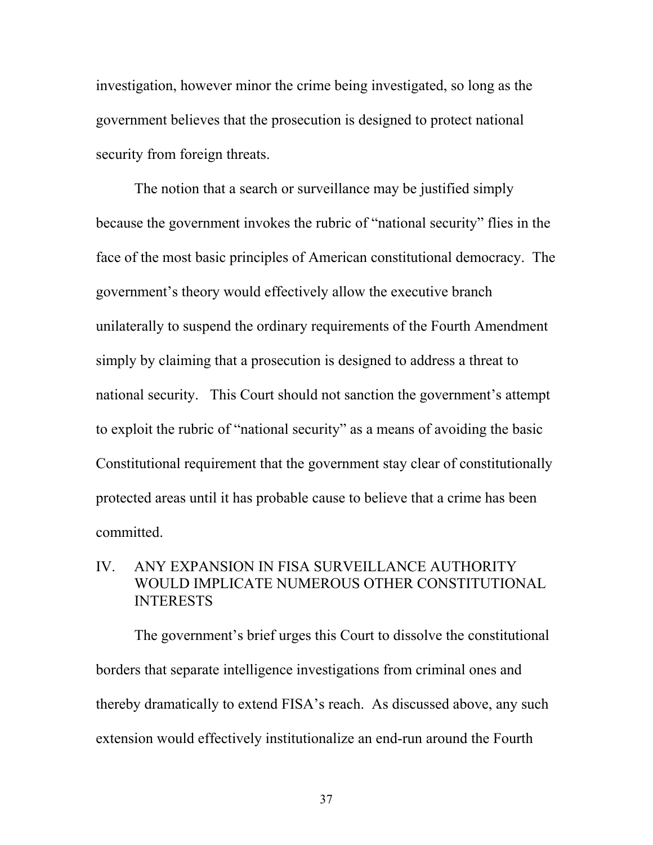investigation, however minor the crime being investigated, so long as the government believes that the prosecution is designed to protect national security from foreign threats.

The notion that a search or surveillance may be justified simply because the government invokes the rubric of "national security" flies in the face of the most basic principles of American constitutional democracy. The government's theory would effectively allow the executive branch unilaterally to suspend the ordinary requirements of the Fourth Amendment simply by claiming that a prosecution is designed to address a threat to national security. This Court should not sanction the government's attempt to exploit the rubric of "national security" as a means of avoiding the basic Constitutional requirement that the government stay clear of constitutionally protected areas until it has probable cause to believe that a crime has been committed.

## IV. ANY EXPANSION IN FISA SURVEILLANCE AUTHORITY WOULD IMPLICATE NUMEROUS OTHER CONSTITUTIONAL INTERESTS

The government's brief urges this Court to dissolve the constitutional borders that separate intelligence investigations from criminal ones and thereby dramatically to extend FISA's reach. As discussed above, any such extension would effectively institutionalize an end-run around the Fourth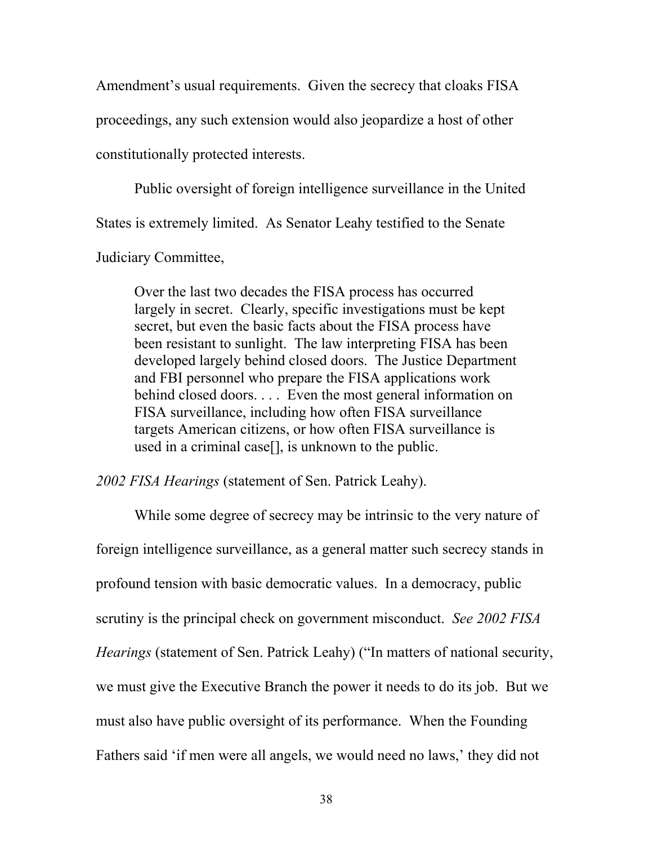Amendment's usual requirements. Given the secrecy that cloaks FISA proceedings, any such extension would also jeopardize a host of other constitutionally protected interests.

Public oversight of foreign intelligence surveillance in the United States is extremely limited. As Senator Leahy testified to the Senate

Judiciary Committee,

Over the last two decades the FISA process has occurred largely in secret. Clearly, specific investigations must be kept secret, but even the basic facts about the FISA process have been resistant to sunlight. The law interpreting FISA has been developed largely behind closed doors. The Justice Department and FBI personnel who prepare the FISA applications work behind closed doors. . . . Even the most general information on FISA surveillance, including how often FISA surveillance targets American citizens, or how often FISA surveillance is used in a criminal case[], is unknown to the public.

*2002 FISA Hearings* (statement of Sen. Patrick Leahy).

While some degree of secrecy may be intrinsic to the very nature of foreign intelligence surveillance, as a general matter such secrecy stands in profound tension with basic democratic values. In a democracy, public scrutiny is the principal check on government misconduct. *See 2002 FISA Hearings* (statement of Sen. Patrick Leahy) ("In matters of national security, we must give the Executive Branch the power it needs to do its job. But we must also have public oversight of its performance. When the Founding Fathers said 'if men were all angels, we would need no laws,' they did not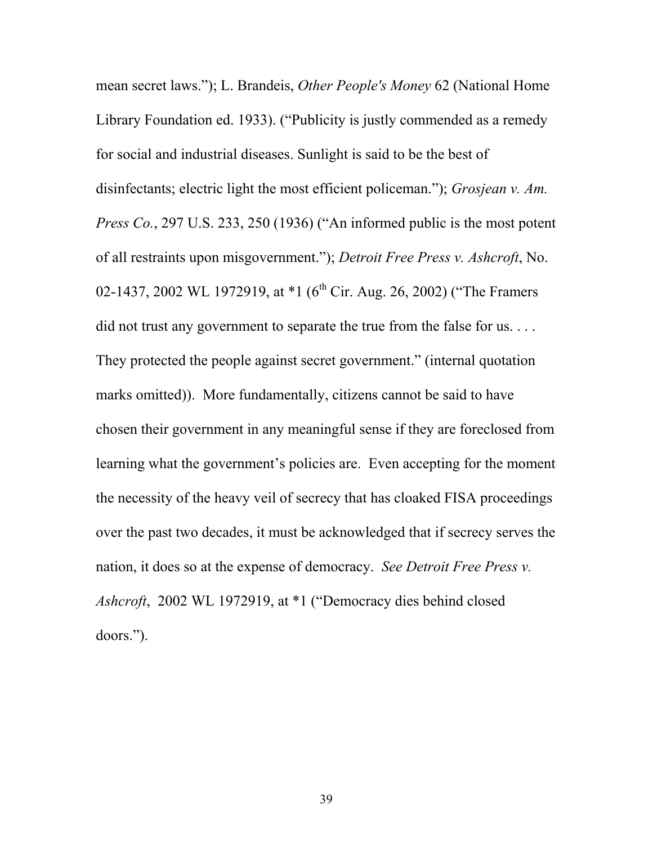mean secret laws."); L. Brandeis, *Other People's Money* 62 (National Home Library Foundation ed. 1933). ("Publicity is justly commended as a remedy for social and industrial diseases. Sunlight is said to be the best of disinfectants; electric light the most efficient policeman."); *Grosjean v. Am. Press Co.*, 297 U.S. 233, 250 (1936) ("An informed public is the most potent of all restraints upon misgovernment."); *Detroit Free Press v. Ashcroft*, No. 02-1437, 2002 WL 1972919, at \*1 (6<sup>th</sup> Cir. Aug. 26, 2002) ("The Framers did not trust any government to separate the true from the false for us. . . . They protected the people against secret government." (internal quotation marks omitted)). More fundamentally, citizens cannot be said to have chosen their government in any meaningful sense if they are foreclosed from learning what the government's policies are. Even accepting for the moment the necessity of the heavy veil of secrecy that has cloaked FISA proceedings over the past two decades, it must be acknowledged that if secrecy serves the nation, it does so at the expense of democracy. *See Detroit Free Press v. Ashcroft*, 2002 WL 1972919, at \*1 ("Democracy dies behind closed doors.").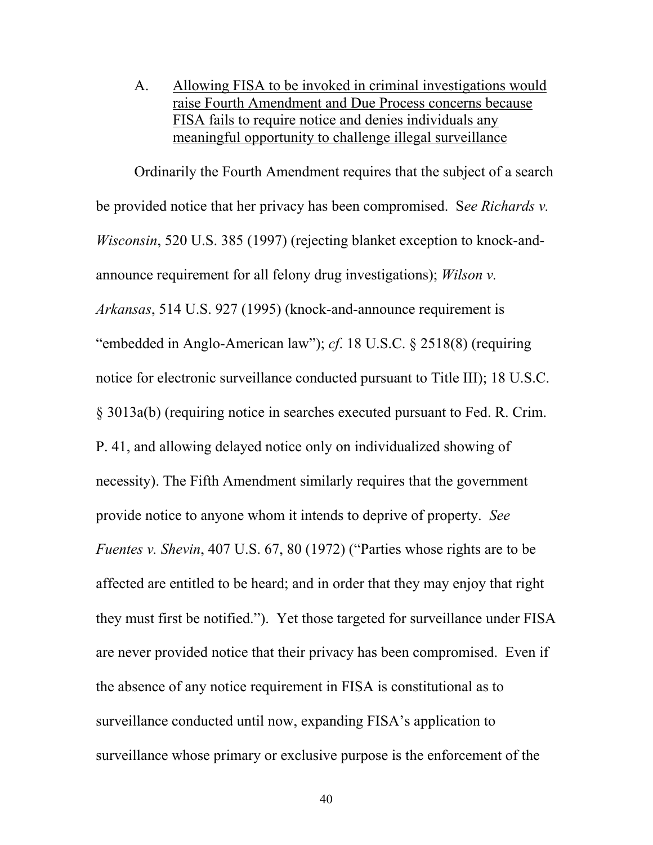A. Allowing FISA to be invoked in criminal investigations would raise Fourth Amendment and Due Process concerns because FISA fails to require notice and denies individuals any meaningful opportunity to challenge illegal surveillance

Ordinarily the Fourth Amendment requires that the subject of a search be provided notice that her privacy has been compromised. S*ee Richards v. Wisconsin*, 520 U.S. 385 (1997) (rejecting blanket exception to knock-andannounce requirement for all felony drug investigations); *Wilson v. Arkansas*, 514 U.S. 927 (1995) (knock-and-announce requirement is "embedded in Anglo-American law"); *cf*. 18 U.S.C. § 2518(8) (requiring notice for electronic surveillance conducted pursuant to Title III); 18 U.S.C. § 3013a(b) (requiring notice in searches executed pursuant to Fed. R. Crim. P. 41, and allowing delayed notice only on individualized showing of necessity). The Fifth Amendment similarly requires that the government provide notice to anyone whom it intends to deprive of property. *See Fuentes v. Shevin*, 407 U.S. 67, 80 (1972) ("Parties whose rights are to be affected are entitled to be heard; and in order that they may enjoy that right they must first be notified."). Yet those targeted for surveillance under FISA are never provided notice that their privacy has been compromised. Even if the absence of any notice requirement in FISA is constitutional as to surveillance conducted until now, expanding FISA's application to surveillance whose primary or exclusive purpose is the enforcement of the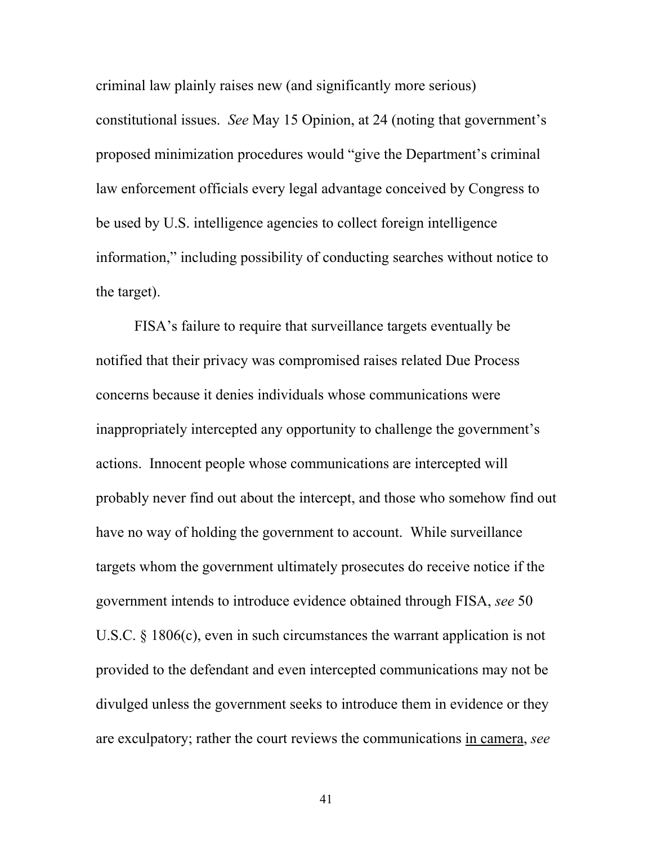criminal law plainly raises new (and significantly more serious) constitutional issues. *See* May 15 Opinion, at 24 (noting that government's proposed minimization procedures would "give the Department's criminal law enforcement officials every legal advantage conceived by Congress to be used by U.S. intelligence agencies to collect foreign intelligence information," including possibility of conducting searches without notice to the target).

FISA's failure to require that surveillance targets eventually be notified that their privacy was compromised raises related Due Process concerns because it denies individuals whose communications were inappropriately intercepted any opportunity to challenge the government's actions. Innocent people whose communications are intercepted will probably never find out about the intercept, and those who somehow find out have no way of holding the government to account. While surveillance targets whom the government ultimately prosecutes do receive notice if the government intends to introduce evidence obtained through FISA, *see* 50 U.S.C. § 1806(c), even in such circumstances the warrant application is not provided to the defendant and even intercepted communications may not be divulged unless the government seeks to introduce them in evidence or they are exculpatory; rather the court reviews the communications in camera, *see*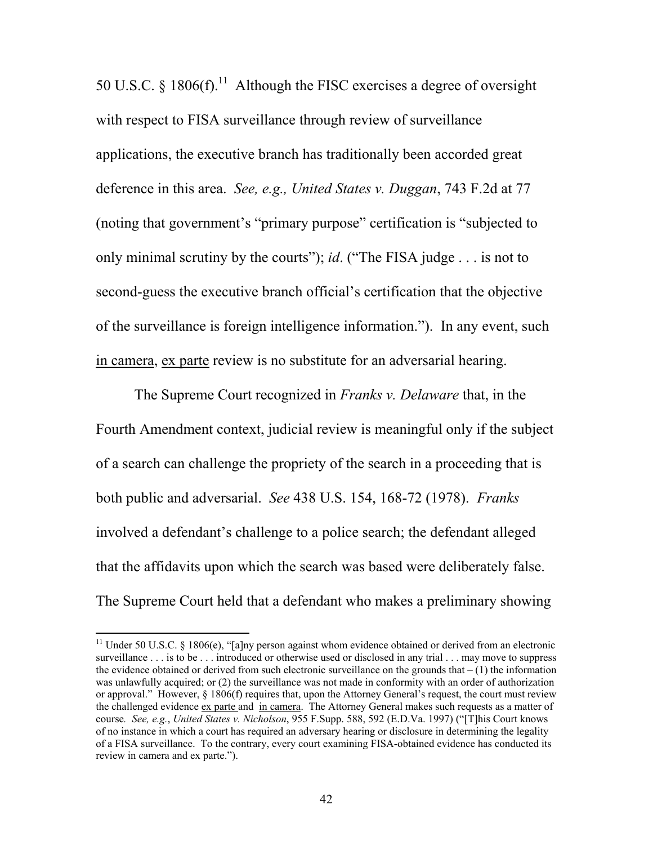50 U.S.C. § 1806(f).<sup>11</sup> Although the FISC exercises a degree of oversight with respect to FISA surveillance through review of surveillance applications, the executive branch has traditionally been accorded great deference in this area. *See, e.g., United States v. Duggan*, 743 F.2d at 77 (noting that government's "primary purpose" certification is "subjected to only minimal scrutiny by the courts"); *id*. ("The FISA judge . . . is not to second-guess the executive branch official's certification that the objective of the surveillance is foreign intelligence information."). In any event, such in camera, ex parte review is no substitute for an adversarial hearing.

The Supreme Court recognized in *Franks v. Delaware* that, in the Fourth Amendment context, judicial review is meaningful only if the subject of a search can challenge the propriety of the search in a proceeding that is both public and adversarial. *See* 438 U.S. 154, 168-72 (1978). *Franks*  involved a defendant's challenge to a police search; the defendant alleged that the affidavits upon which the search was based were deliberately false. The Supreme Court held that a defendant who makes a preliminary showing

<sup>&</sup>lt;sup>11</sup> Under 50 U.S.C. § 1806(e), "[a]ny person against whom evidence obtained or derived from an electronic surveillance . . . is to be . . . introduced or otherwise used or disclosed in any trial . . . may move to suppress the evidence obtained or derived from such electronic surveillance on the grounds that  $- (1)$  the information was unlawfully acquired; or (2) the surveillance was not made in conformity with an order of authorization or approval." However, § 1806(f) requires that, upon the Attorney General's request, the court must review the challenged evidence ex parte and in camera. The Attorney General makes such requests as a matter of course*. See, e.g.*, *United States v. Nicholson*, 955 F.Supp. 588, 592 (E.D.Va. 1997) ("[T]his Court knows of no instance in which a court has required an adversary hearing or disclosure in determining the legality of a FISA surveillance. To the contrary, every court examining FISA-obtained evidence has conducted its review in camera and ex parte.").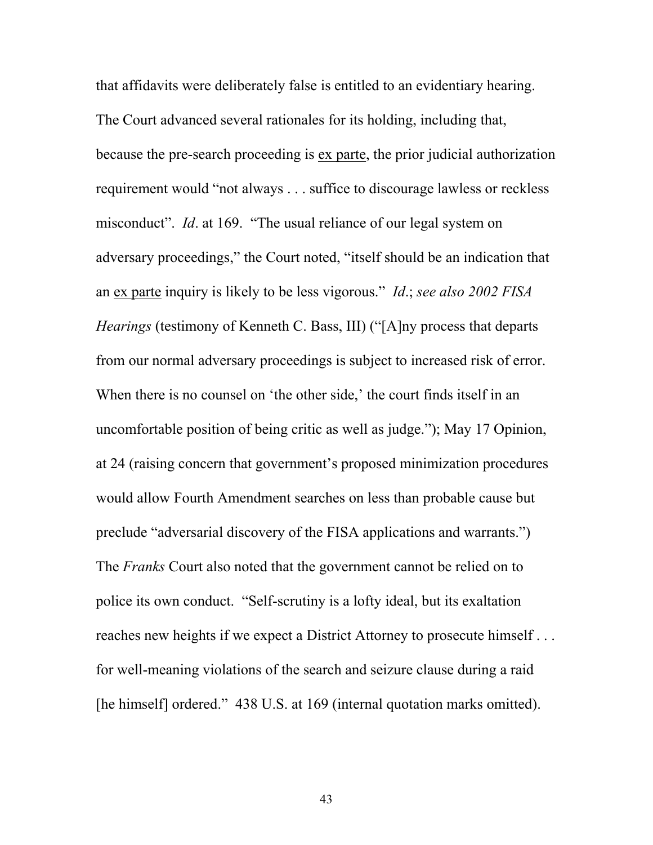that affidavits were deliberately false is entitled to an evidentiary hearing. The Court advanced several rationales for its holding, including that, because the pre-search proceeding is ex parte, the prior judicial authorization requirement would "not always . . . suffice to discourage lawless or reckless misconduct". *Id*. at 169. "The usual reliance of our legal system on adversary proceedings," the Court noted, "itself should be an indication that an ex parte inquiry is likely to be less vigorous." *Id*.; *see also 2002 FISA Hearings* (testimony of Kenneth C. Bass, III) ("[A]ny process that departs from our normal adversary proceedings is subject to increased risk of error. When there is no counsel on 'the other side,' the court finds itself in an uncomfortable position of being critic as well as judge."); May 17 Opinion, at 24 (raising concern that government's proposed minimization procedures would allow Fourth Amendment searches on less than probable cause but preclude "adversarial discovery of the FISA applications and warrants.") The *Franks* Court also noted that the government cannot be relied on to police its own conduct. "Self-scrutiny is a lofty ideal, but its exaltation reaches new heights if we expect a District Attorney to prosecute himself . . . for well-meaning violations of the search and seizure clause during a raid [he himself] ordered." 438 U.S. at 169 (internal quotation marks omitted).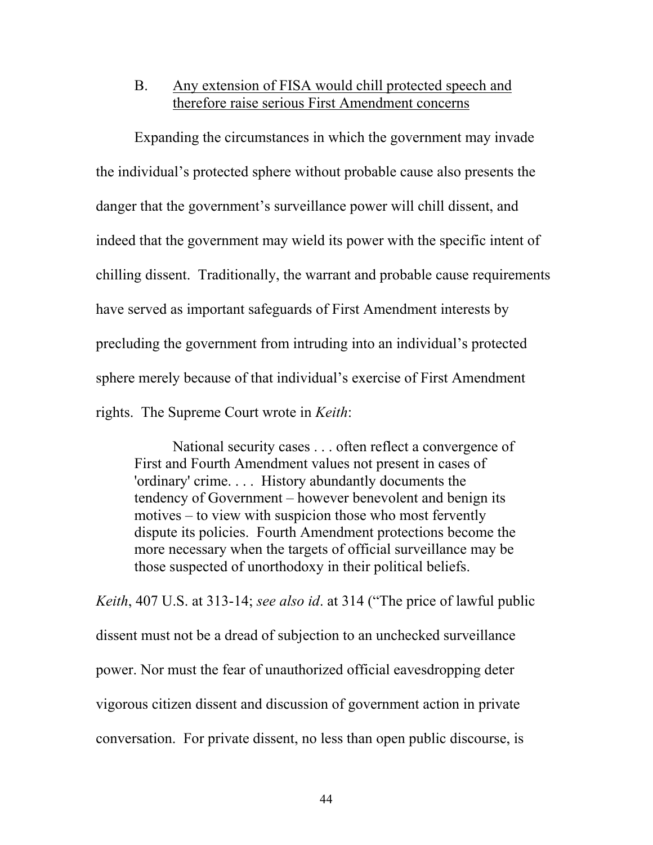## B. Any extension of FISA would chill protected speech and therefore raise serious First Amendment concerns

Expanding the circumstances in which the government may invade the individual's protected sphere without probable cause also presents the danger that the government's surveillance power will chill dissent, and indeed that the government may wield its power with the specific intent of chilling dissent. Traditionally, the warrant and probable cause requirements have served as important safeguards of First Amendment interests by precluding the government from intruding into an individual's protected sphere merely because of that individual's exercise of First Amendment rights. The Supreme Court wrote in *Keith*:

National security cases . . . often reflect a convergence of First and Fourth Amendment values not present in cases of 'ordinary' crime. . . . History abundantly documents the tendency of Government – however benevolent and benign its motives – to view with suspicion those who most fervently dispute its policies. Fourth Amendment protections become the more necessary when the targets of official surveillance may be those suspected of unorthodoxy in their political beliefs.

*Keith*, 407 U.S. at 313-14; *see also id*. at 314 ("The price of lawful public dissent must not be a dread of subjection to an unchecked surveillance power. Nor must the fear of unauthorized official eavesdropping deter vigorous citizen dissent and discussion of government action in private conversation. For private dissent, no less than open public discourse, is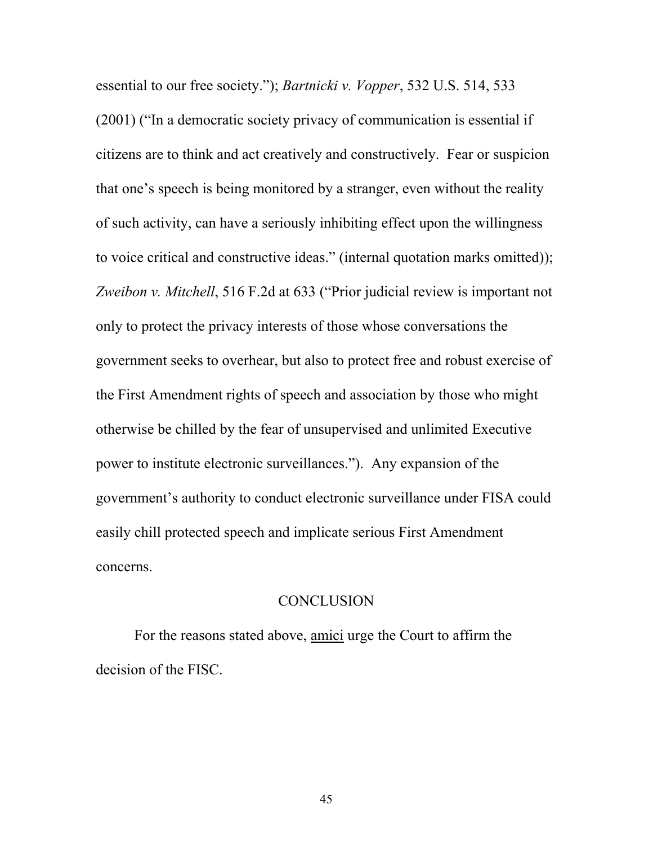essential to our free society."); *Bartnicki v. Vopper*, 532 U.S. 514, 533 (2001) ("In a democratic society privacy of communication is essential if citizens are to think and act creatively and constructively. Fear or suspicion that one's speech is being monitored by a stranger, even without the reality of such activity, can have a seriously inhibiting effect upon the willingness to voice critical and constructive ideas." (internal quotation marks omitted)); *Zweibon v. Mitchell*, 516 F.2d at 633 ("Prior judicial review is important not only to protect the privacy interests of those whose conversations the government seeks to overhear, but also to protect free and robust exercise of the First Amendment rights of speech and association by those who might otherwise be chilled by the fear of unsupervised and unlimited Executive power to institute electronic surveillances."). Any expansion of the government's authority to conduct electronic surveillance under FISA could easily chill protected speech and implicate serious First Amendment concerns.

#### **CONCLUSION**

 For the reasons stated above, amici urge the Court to affirm the decision of the FISC.